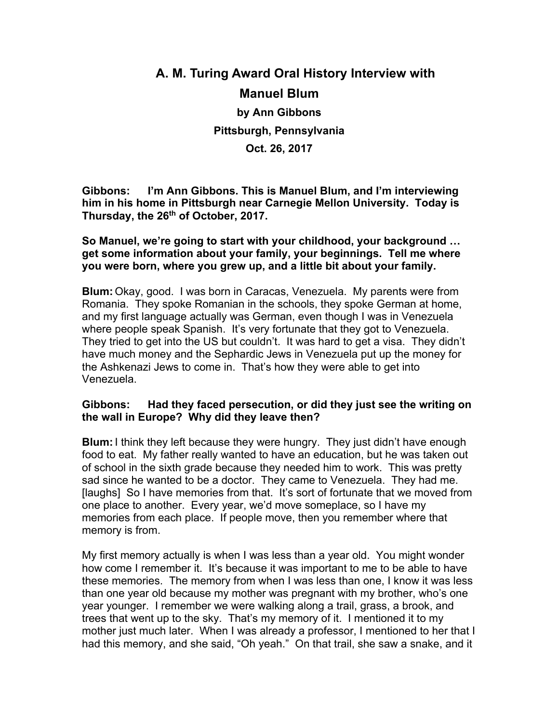# **A. M. Turing Award Oral History Interview with Manuel Blum by Ann Gibbons Pittsburgh, Pennsylvania Oct. 26, 2017**

**Gibbons: I'm Ann Gibbons. This is Manuel Blum, and I'm interviewing him in his home in Pittsburgh near Carnegie Mellon University. Today is Thursday, the 26th of October, 2017.**

**So Manuel, we're going to start with your childhood, your background … get some information about your family, your beginnings. Tell me where you were born, where you grew up, and a little bit about your family.**

**Blum:** Okay, good. I was born in Caracas, Venezuela. My parents were from Romania. They spoke Romanian in the schools, they spoke German at home, and my first language actually was German, even though I was in Venezuela where people speak Spanish. It's very fortunate that they got to Venezuela. They tried to get into the US but couldn't. It was hard to get a visa. They didn't have much money and the Sephardic Jews in Venezuela put up the money for the Ashkenazi Jews to come in. That's how they were able to get into Venezuela.

# **Gibbons: Had they faced persecution, or did they just see the writing on the wall in Europe? Why did they leave then?**

**Blum:**I think they left because they were hungry. They just didn't have enough food to eat. My father really wanted to have an education, but he was taken out of school in the sixth grade because they needed him to work. This was pretty sad since he wanted to be a doctor. They came to Venezuela. They had me. [laughs] So I have memories from that. It's sort of fortunate that we moved from one place to another. Every year, we'd move someplace, so I have my memories from each place. If people move, then you remember where that memory is from.

My first memory actually is when I was less than a year old. You might wonder how come I remember it. It's because it was important to me to be able to have these memories. The memory from when I was less than one, I know it was less than one year old because my mother was pregnant with my brother, who's one year younger. I remember we were walking along a trail, grass, a brook, and trees that went up to the sky. That's my memory of it. I mentioned it to my mother just much later. When I was already a professor, I mentioned to her that I had this memory, and she said, "Oh yeah." On that trail, she saw a snake, and it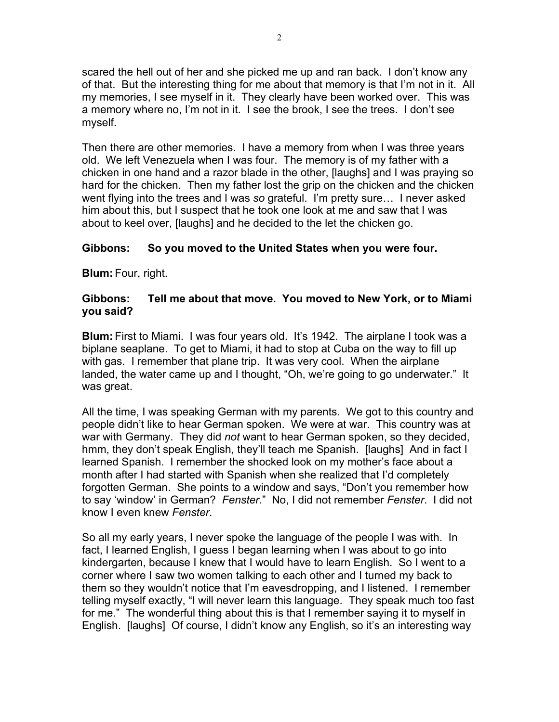scared the hell out of her and she picked me up and ran back. I don't know any of that. But the interesting thing for me about that memory is that I'm not in it. All my memories, I see myself in it. They clearly have been worked over. This was a memory where no, I'm not in it. I see the brook, I see the trees. I don't see myself.

Then there are other memories. I have a memory from when I was three years old. We left Venezuela when I was four. The memory is of my father with a chicken in one hand and a razor blade in the other, [laughs] and I was praying so hard for the chicken. Then my father lost the grip on the chicken and the chicken went flying into the trees and I was *so* grateful. I'm pretty sure… I never asked him about this, but I suspect that he took one look at me and saw that I was about to keel over, [laughs] and he decided to the let the chicken go.

# **Gibbons: So you moved to the United States when you were four.**

**Blum:** Four, right.

# **Gibbons: Tell me about that move. You moved to New York, or to Miami you said?**

**Blum:** First to Miami. I was four years old. It's 1942. The airplane I took was a biplane seaplane. To get to Miami, it had to stop at Cuba on the way to fill up with gas. I remember that plane trip. It was very cool. When the airplane landed, the water came up and I thought, "Oh, we're going to go underwater." It was great.

All the time, I was speaking German with my parents. We got to this country and people didn't like to hear German spoken. We were at war. This country was at war with Germany. They did *not* want to hear German spoken, so they decided, hmm, they don't speak English, they'll teach me Spanish. [laughs] And in fact I learned Spanish. I remember the shocked look on my mother's face about a month after I had started with Spanish when she realized that I'd completely forgotten German. She points to a window and says, "Don't you remember how to say 'window' in German? *Fenster*." No, I did not remember *Fenster*. I did not know I even knew *Fenster*.

So all my early years, I never spoke the language of the people I was with. In fact, I learned English, I guess I began learning when I was about to go into kindergarten, because I knew that I would have to learn English. So I went to a corner where I saw two women talking to each other and I turned my back to them so they wouldn't notice that I'm eavesdropping, and I listened. I remember telling myself exactly, "I will never learn this language. They speak much too fast for me." The wonderful thing about this is that I remember saying it to myself in English. [laughs] Of course, I didn't know any English, so it's an interesting way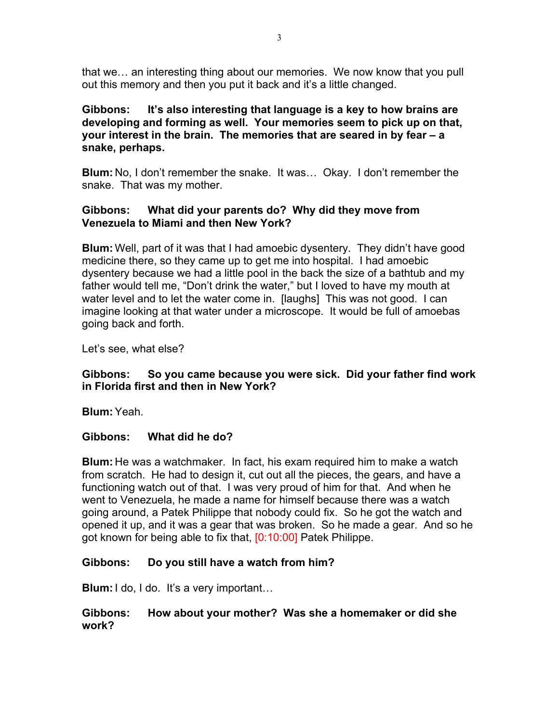that we… an interesting thing about our memories. We now know that you pull out this memory and then you put it back and it's a little changed.

# **Gibbons: It's also interesting that language is a key to how brains are developing and forming as well. Your memories seem to pick up on that, your interest in the brain. The memories that are seared in by fear – a snake, perhaps.**

**Blum:** No, I don't remember the snake. It was… Okay. I don't remember the snake. That was my mother.

# **Gibbons: What did your parents do? Why did they move from Venezuela to Miami and then New York?**

**Blum:** Well, part of it was that I had amoebic dysentery. They didn't have good medicine there, so they came up to get me into hospital. I had amoebic dysentery because we had a little pool in the back the size of a bathtub and my father would tell me, "Don't drink the water," but I loved to have my mouth at water level and to let the water come in. [laughs] This was not good. I can imagine looking at that water under a microscope. It would be full of amoebas going back and forth.

Let's see, what else?

# **Gibbons: So you came because you were sick. Did your father find work in Florida first and then in New York?**

**Blum:**Yeah.

# **Gibbons: What did he do?**

**Blum:** He was a watchmaker. In fact, his exam required him to make a watch from scratch. He had to design it, cut out all the pieces, the gears, and have a functioning watch out of that. I was very proud of him for that. And when he went to Venezuela, he made a name for himself because there was a watch going around, a Patek Philippe that nobody could fix. So he got the watch and opened it up, and it was a gear that was broken. So he made a gear. And so he got known for being able to fix that, [0:10:00] Patek Philippe.

# **Gibbons: Do you still have a watch from him?**

**Blum:** I do, I do. It's a very important...

# **Gibbons: How about your mother? Was she a homemaker or did she work?**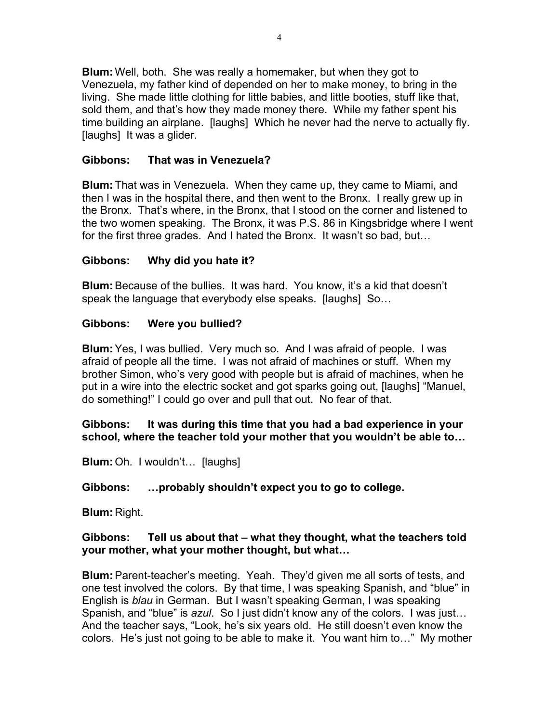**Blum:** Well, both. She was really a homemaker, but when they got to Venezuela, my father kind of depended on her to make money, to bring in the living. She made little clothing for little babies, and little booties, stuff like that, sold them, and that's how they made money there. While my father spent his time building an airplane. [laughs] Which he never had the nerve to actually fly. [laughs] It was a glider.

# **Gibbons: That was in Venezuela?**

**Blum:** That was in Venezuela. When they came up, they came to Miami, and then I was in the hospital there, and then went to the Bronx. I really grew up in the Bronx. That's where, in the Bronx, that I stood on the corner and listened to the two women speaking. The Bronx, it was P.S. 86 in Kingsbridge where I went for the first three grades. And I hated the Bronx. It wasn't so bad, but…

# **Gibbons: Why did you hate it?**

**Blum:**Because of the bullies. It was hard. You know, it's a kid that doesn't speak the language that everybody else speaks. [laughs] So...

# **Gibbons: Were you bullied?**

**Blum:**Yes, I was bullied. Very much so. And I was afraid of people. I was afraid of people all the time. I was not afraid of machines or stuff. When my brother Simon, who's very good with people but is afraid of machines, when he put in a wire into the electric socket and got sparks going out, [laughs] "Manuel, do something!" I could go over and pull that out. No fear of that.

# **Gibbons: It was during this time that you had a bad experience in your school, where the teacher told your mother that you wouldn't be able to…**

**Blum:** Oh. I wouldn't… [laughs]

# **Gibbons: …probably shouldn't expect you to go to college.**

**Blum:** Right.

# **Gibbons: Tell us about that – what they thought, what the teachers told your mother, what your mother thought, but what…**

**Blum:**Parent-teacher's meeting. Yeah. They'd given me all sorts of tests, and one test involved the colors. By that time, I was speaking Spanish, and "blue" in English is *blau* in German. But I wasn't speaking German, I was speaking Spanish, and "blue" is *azul*. So I just didn't know any of the colors. I was just… And the teacher says, "Look, he's six years old. He still doesn't even know the colors. He's just not going to be able to make it. You want him to…" My mother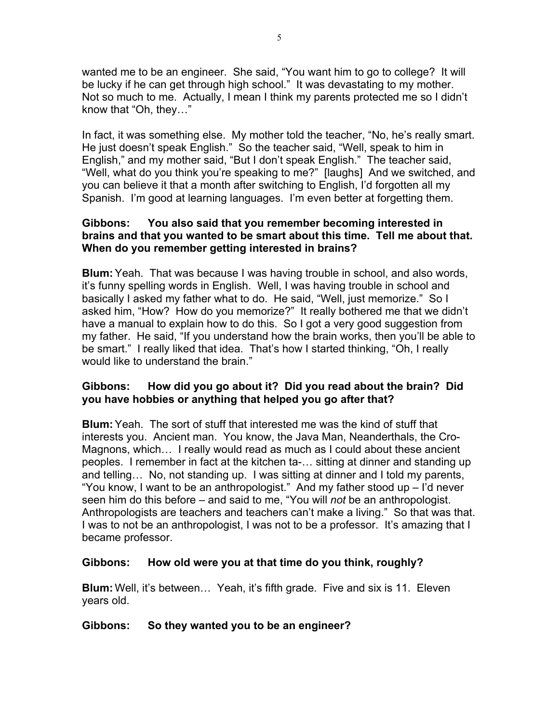wanted me to be an engineer. She said, "You want him to go to college? It will be lucky if he can get through high school." It was devastating to my mother. Not so much to me. Actually, I mean I think my parents protected me so I didn't know that "Oh, they…"

In fact, it was something else. My mother told the teacher, "No, he's really smart. He just doesn't speak English." So the teacher said, "Well, speak to him in English," and my mother said, "But I don't speak English." The teacher said, "Well, what do you think you're speaking to me?" [laughs] And we switched, and you can believe it that a month after switching to English, I'd forgotten all my Spanish. I'm good at learning languages. I'm even better at forgetting them.

# **Gibbons: You also said that you remember becoming interested in brains and that you wanted to be smart about this time. Tell me about that. When do you remember getting interested in brains?**

**Blum:**Yeah. That was because I was having trouble in school, and also words, it's funny spelling words in English. Well, I was having trouble in school and basically I asked my father what to do. He said, "Well, just memorize." So I asked him, "How? How do you memorize?" It really bothered me that we didn't have a manual to explain how to do this. So I got a very good suggestion from my father. He said, "If you understand how the brain works, then you'll be able to be smart." I really liked that idea. That's how I started thinking, "Oh, I really would like to understand the brain."

# **Gibbons: How did you go about it? Did you read about the brain? Did you have hobbies or anything that helped you go after that?**

**Blum:**Yeah. The sort of stuff that interested me was the kind of stuff that interests you. Ancient man. You know, the Java Man, Neanderthals, the Cro-Magnons, which… I really would read as much as I could about these ancient peoples. I remember in fact at the kitchen ta-… sitting at dinner and standing up and telling… No, not standing up. I was sitting at dinner and I told my parents, "You know, I want to be an anthropologist." And my father stood up  $-$  I'd never seen him do this before – and said to me, "You will *not* be an anthropologist. Anthropologists are teachers and teachers can't make a living." So that was that. I was to not be an anthropologist, I was not to be a professor. It's amazing that I became professor.

# **Gibbons: How old were you at that time do you think, roughly?**

**Blum:** Well, it's between… Yeah, it's fifth grade. Five and six is 11. Eleven years old.

# **Gibbons: So they wanted you to be an engineer?**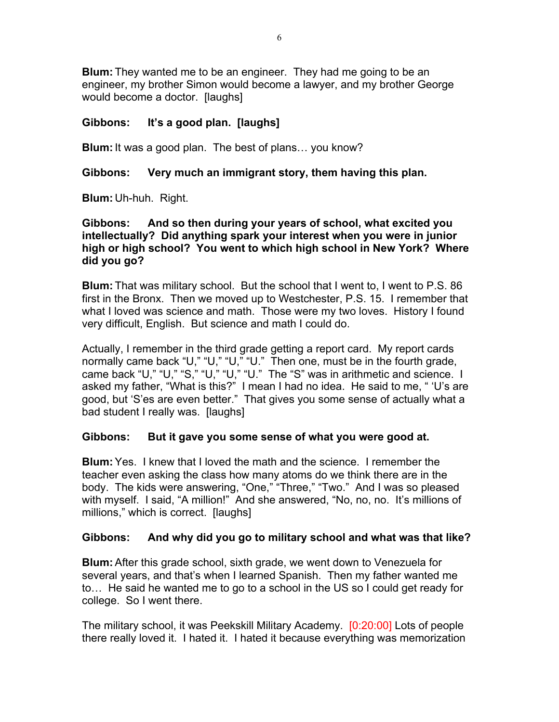**Blum:** They wanted me to be an engineer. They had me going to be an engineer, my brother Simon would become a lawyer, and my brother George would become a doctor. [laughs]

# **Gibbons: It's a good plan. [laughs]**

**Blum:**It was a good plan. The best of plans… you know?

# **Gibbons: Very much an immigrant story, them having this plan.**

**Blum:** Uh-huh. Right.

# **Gibbons: And so then during your years of school, what excited you intellectually? Did anything spark your interest when you were in junior high or high school? You went to which high school in New York? Where did you go?**

**Blum:** That was military school. But the school that I went to, I went to P.S. 86 first in the Bronx. Then we moved up to Westchester, P.S. 15. I remember that what I loved was science and math. Those were my two loves. History I found very difficult, English. But science and math I could do.

Actually, I remember in the third grade getting a report card. My report cards normally came back "U," "U," "U," "U." Then one, must be in the fourth grade, came back "U," "U," "S," "U," "U," "U." The "S" was in arithmetic and science. I asked my father, "What is this?" I mean I had no idea. He said to me, " 'U's are good, but 'S'es are even better." That gives you some sense of actually what a bad student I really was. [laughs]

# **Gibbons: But it gave you some sense of what you were good at.**

**Blum:**Yes. I knew that I loved the math and the science. I remember the teacher even asking the class how many atoms do we think there are in the body. The kids were answering, "One," "Three," "Two." And I was so pleased with myself. I said, "A million!" And she answered, "No, no, no. It's millions of millions," which is correct. [laughs]

# **Gibbons: And why did you go to military school and what was that like?**

**Blum:**After this grade school, sixth grade, we went down to Venezuela for several years, and that's when I learned Spanish. Then my father wanted me to… He said he wanted me to go to a school in the US so I could get ready for college. So I went there.

The military school, it was Peekskill Military Academy. [0:20:00] Lots of people there really loved it. I hated it. I hated it because everything was memorization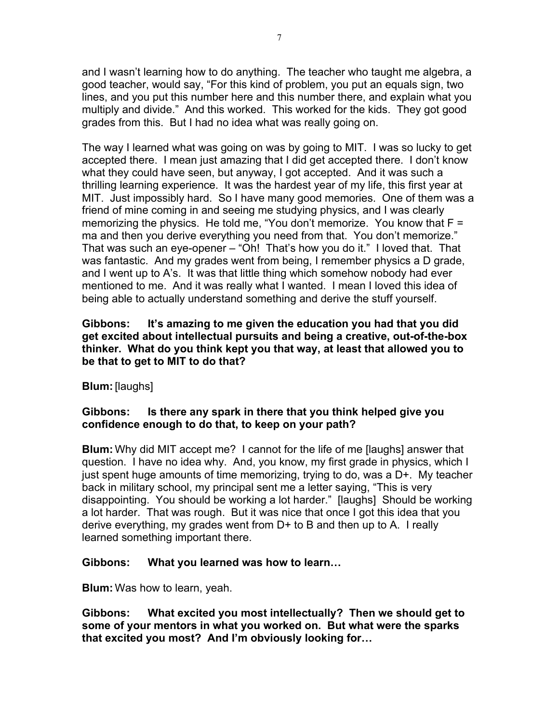and I wasn't learning how to do anything. The teacher who taught me algebra, a good teacher, would say, "For this kind of problem, you put an equals sign, two lines, and you put this number here and this number there, and explain what you multiply and divide." And this worked. This worked for the kids. They got good grades from this. But I had no idea what was really going on.

The way I learned what was going on was by going to MIT. I was so lucky to get accepted there. I mean just amazing that I did get accepted there. I don't know what they could have seen, but anyway, I got accepted. And it was such a thrilling learning experience. It was the hardest year of my life, this first year at MIT. Just impossibly hard. So I have many good memories. One of them was a friend of mine coming in and seeing me studying physics, and I was clearly memorizing the physics. He told me, "You don't memorize. You know that F = ma and then you derive everything you need from that. You don't memorize." That was such an eye-opener – "Oh! That's how you do it." I loved that. That was fantastic. And my grades went from being, I remember physics a D grade, and I went up to A's. It was that little thing which somehow nobody had ever mentioned to me. And it was really what I wanted. I mean I loved this idea of being able to actually understand something and derive the stuff yourself.

**Gibbons: It's amazing to me given the education you had that you did get excited about intellectual pursuits and being a creative, out-of-the-box thinker. What do you think kept you that way, at least that allowed you to be that to get to MIT to do that?**

# **Blum:**[laughs]

# **Gibbons: Is there any spark in there that you think helped give you confidence enough to do that, to keep on your path?**

**Blum:** Why did MIT accept me? I cannot for the life of me [laughs] answer that question. I have no idea why. And, you know, my first grade in physics, which I just spent huge amounts of time memorizing, trying to do, was a D+. My teacher back in military school, my principal sent me a letter saying, "This is very disappointing. You should be working a lot harder." [laughs] Should be working a lot harder. That was rough. But it was nice that once I got this idea that you derive everything, my grades went from D+ to B and then up to A. I really learned something important there.

# **Gibbons: What you learned was how to learn…**

**Blum:** Was how to learn, yeah.

**Gibbons: What excited you most intellectually? Then we should get to some of your mentors in what you worked on. But what were the sparks that excited you most? And I'm obviously looking for…**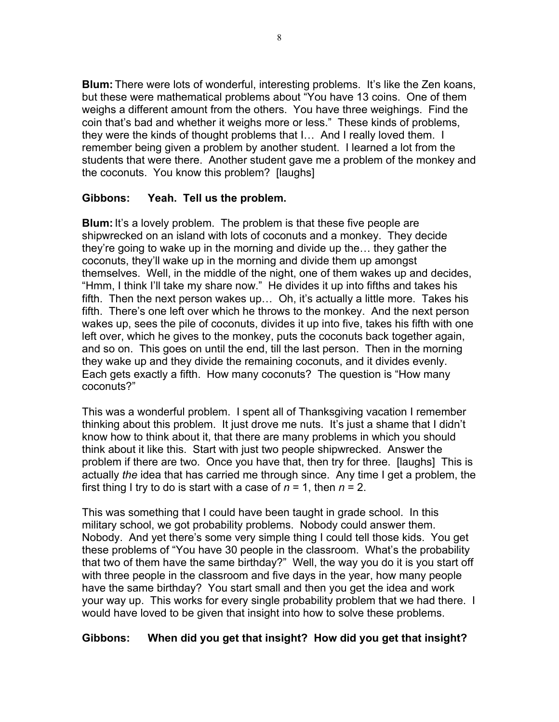**Blum:** There were lots of wonderful, interesting problems. It's like the Zen koans, but these were mathematical problems about "You have 13 coins. One of them weighs a different amount from the others. You have three weighings. Find the coin that's bad and whether it weighs more or less." These kinds of problems, they were the kinds of thought problems that I… And I really loved them. I remember being given a problem by another student. I learned a lot from the students that were there. Another student gave me a problem of the monkey and the coconuts. You know this problem? [laughs]

# **Gibbons: Yeah. Tell us the problem.**

**Blum:** It's a lovely problem. The problem is that these five people are shipwrecked on an island with lots of coconuts and a monkey. They decide they're going to wake up in the morning and divide up the… they gather the coconuts, they'll wake up in the morning and divide them up amongst themselves. Well, in the middle of the night, one of them wakes up and decides, "Hmm, I think I'll take my share now." He divides it up into fifths and takes his fifth. Then the next person wakes up… Oh, it's actually a little more. Takes his fifth. There's one left over which he throws to the monkey. And the next person wakes up, sees the pile of coconuts, divides it up into five, takes his fifth with one left over, which he gives to the monkey, puts the coconuts back together again, and so on. This goes on until the end, till the last person. Then in the morning they wake up and they divide the remaining coconuts, and it divides evenly. Each gets exactly a fifth. How many coconuts? The question is "How many coconuts?"

This was a wonderful problem. I spent all of Thanksgiving vacation I remember thinking about this problem. It just drove me nuts. It's just a shame that I didn't know how to think about it, that there are many problems in which you should think about it like this. Start with just two people shipwrecked. Answer the problem if there are two. Once you have that, then try for three. [laughs] This is actually *the* idea that has carried me through since. Any time I get a problem, the first thing I try to do is start with a case of  $n = 1$ , then  $n = 2$ .

This was something that I could have been taught in grade school. In this military school, we got probability problems. Nobody could answer them. Nobody. And yet there's some very simple thing I could tell those kids. You get these problems of "You have 30 people in the classroom. What's the probability that two of them have the same birthday?" Well, the way you do it is you start off with three people in the classroom and five days in the year, how many people have the same birthday? You start small and then you get the idea and work your way up. This works for every single probability problem that we had there. I would have loved to be given that insight into how to solve these problems.

# **Gibbons: When did you get that insight? How did you get that insight?**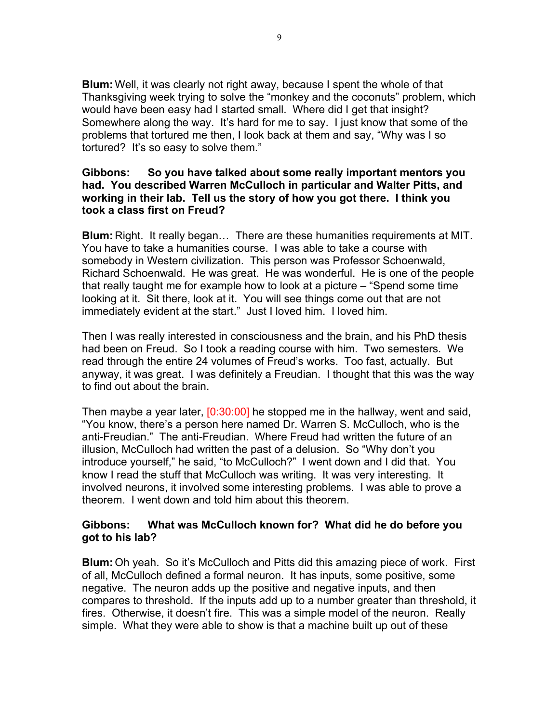**Blum:** Well, it was clearly not right away, because I spent the whole of that Thanksgiving week trying to solve the "monkey and the coconuts" problem, which would have been easy had I started small. Where did I get that insight? Somewhere along the way. It's hard for me to say. I just know that some of the problems that tortured me then, I look back at them and say, "Why was I so tortured? It's so easy to solve them."

### **Gibbons: So you have talked about some really important mentors you had. You described Warren McCulloch in particular and Walter Pitts, and working in their lab. Tell us the story of how you got there. I think you took a class first on Freud?**

**Blum:** Right. It really began… There are these humanities requirements at MIT. You have to take a humanities course. I was able to take a course with somebody in Western civilization. This person was Professor Schoenwald, Richard Schoenwald. He was great. He was wonderful. He is one of the people that really taught me for example how to look at a picture – "Spend some time looking at it. Sit there, look at it. You will see things come out that are not immediately evident at the start." Just I loved him. I loved him.

Then I was really interested in consciousness and the brain, and his PhD thesis had been on Freud. So I took a reading course with him. Two semesters. We read through the entire 24 volumes of Freud's works. Too fast, actually. But anyway, it was great. I was definitely a Freudian. I thought that this was the way to find out about the brain.

Then maybe a year later, [0:30:00] he stopped me in the hallway, went and said, "You know, there's a person here named Dr. Warren S. McCulloch, who is the anti-Freudian." The anti-Freudian. Where Freud had written the future of an illusion, McCulloch had written the past of a delusion. So "Why don't you introduce yourself," he said, "to McCulloch?" I went down and I did that. You know I read the stuff that McCulloch was writing. It was very interesting. It involved neurons, it involved some interesting problems. I was able to prove a theorem. I went down and told him about this theorem.

# **Gibbons: What was McCulloch known for? What did he do before you got to his lab?**

**Blum:** Oh yeah. So it's McCulloch and Pitts did this amazing piece of work. First of all, McCulloch defined a formal neuron. It has inputs, some positive, some negative. The neuron adds up the positive and negative inputs, and then compares to threshold. If the inputs add up to a number greater than threshold, it fires. Otherwise, it doesn't fire. This was a simple model of the neuron. Really simple. What they were able to show is that a machine built up out of these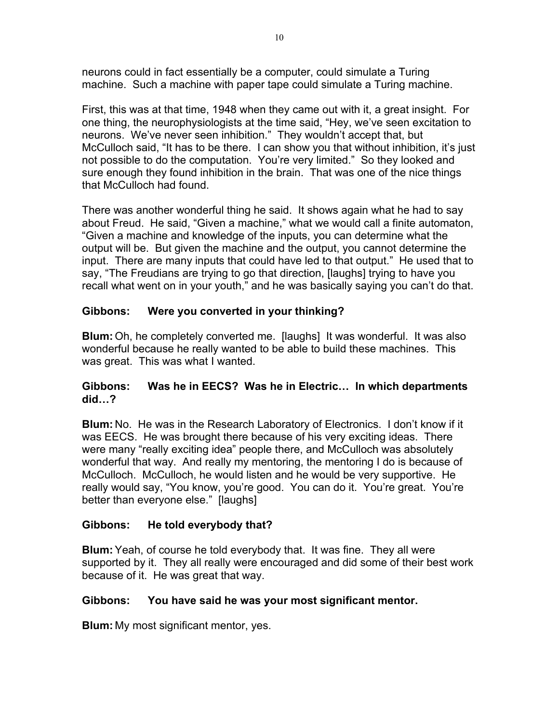neurons could in fact essentially be a computer, could simulate a Turing machine. Such a machine with paper tape could simulate a Turing machine.

First, this was at that time, 1948 when they came out with it, a great insight. For one thing, the neurophysiologists at the time said, "Hey, we've seen excitation to neurons. We've never seen inhibition." They wouldn't accept that, but McCulloch said, "It has to be there. I can show you that without inhibition, it's just not possible to do the computation. You're very limited." So they looked and sure enough they found inhibition in the brain. That was one of the nice things that McCulloch had found.

There was another wonderful thing he said. It shows again what he had to say about Freud. He said, "Given a machine," what we would call a finite automaton, "Given a machine and knowledge of the inputs, you can determine what the output will be. But given the machine and the output, you cannot determine the input. There are many inputs that could have led to that output." He used that to say, "The Freudians are trying to go that direction, [laughs] trying to have you recall what went on in your youth," and he was basically saying you can't do that.

# **Gibbons: Were you converted in your thinking?**

**Blum:** Oh, he completely converted me. [laughs] It was wonderful. It was also wonderful because he really wanted to be able to build these machines. This was great. This was what I wanted.

# **Gibbons: Was he in EECS? Was he in Electric… In which departments did…?**

**Blum:** No. He was in the Research Laboratory of Electronics. I don't know if it was EECS. He was brought there because of his very exciting ideas. There were many "really exciting idea" people there, and McCulloch was absolutely wonderful that way. And really my mentoring, the mentoring I do is because of McCulloch. McCulloch, he would listen and he would be very supportive. He really would say, "You know, you're good. You can do it. You're great. You're better than everyone else." [laughs]

# **Gibbons: He told everybody that?**

**Blum:**Yeah, of course he told everybody that. It was fine. They all were supported by it. They all really were encouraged and did some of their best work because of it. He was great that way.

# **Gibbons: You have said he was your most significant mentor.**

**Blum:** My most significant mentor, yes.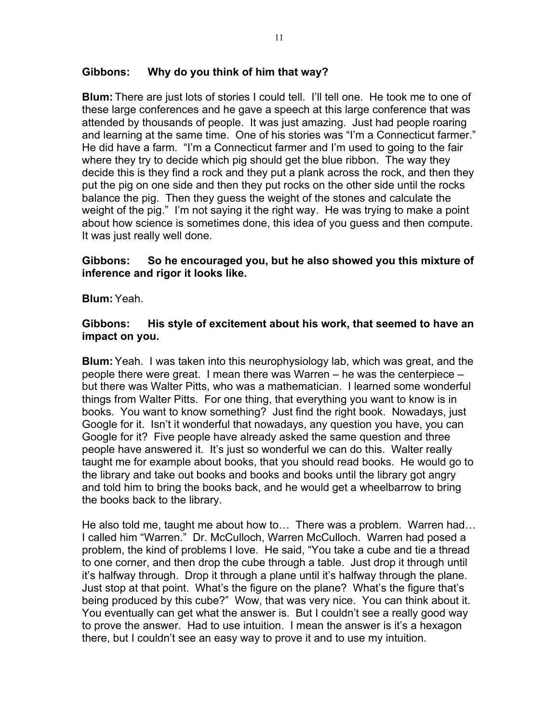### **Gibbons: Why do you think of him that way?**

**Blum:** There are just lots of stories I could tell. I'll tell one. He took me to one of these large conferences and he gave a speech at this large conference that was attended by thousands of people. It was just amazing. Just had people roaring and learning at the same time. One of his stories was "I'm a Connecticut farmer." He did have a farm. "I'm a Connecticut farmer and I'm used to going to the fair where they try to decide which pig should get the blue ribbon. The way they decide this is they find a rock and they put a plank across the rock, and then they put the pig on one side and then they put rocks on the other side until the rocks balance the pig. Then they guess the weight of the stones and calculate the weight of the pig." I'm not saying it the right way. He was trying to make a point about how science is sometimes done, this idea of you guess and then compute. It was just really well done.

#### **Gibbons: So he encouraged you, but he also showed you this mixture of inference and rigor it looks like.**

**Blum:**Yeah.

#### **Gibbons: His style of excitement about his work, that seemed to have an impact on you.**

**Blum:**Yeah. I was taken into this neurophysiology lab, which was great, and the people there were great. I mean there was Warren – he was the centerpiece – but there was Walter Pitts, who was a mathematician. I learned some wonderful things from Walter Pitts. For one thing, that everything you want to know is in books. You want to know something? Just find the right book. Nowadays, just Google for it. Isn't it wonderful that nowadays, any question you have, you can Google for it? Five people have already asked the same question and three people have answered it. It's just so wonderful we can do this. Walter really taught me for example about books, that you should read books. He would go to the library and take out books and books and books until the library got angry and told him to bring the books back, and he would get a wheelbarrow to bring the books back to the library.

He also told me, taught me about how to… There was a problem. Warren had… I called him "Warren." Dr. McCulloch, Warren McCulloch. Warren had posed a problem, the kind of problems I love. He said, "You take a cube and tie a thread to one corner, and then drop the cube through a table. Just drop it through until it's halfway through. Drop it through a plane until it's halfway through the plane. Just stop at that point. What's the figure on the plane? What's the figure that's being produced by this cube?" Wow, that was very nice. You can think about it. You eventually can get what the answer is. But I couldn't see a really good way to prove the answer. Had to use intuition. I mean the answer is it's a hexagon there, but I couldn't see an easy way to prove it and to use my intuition.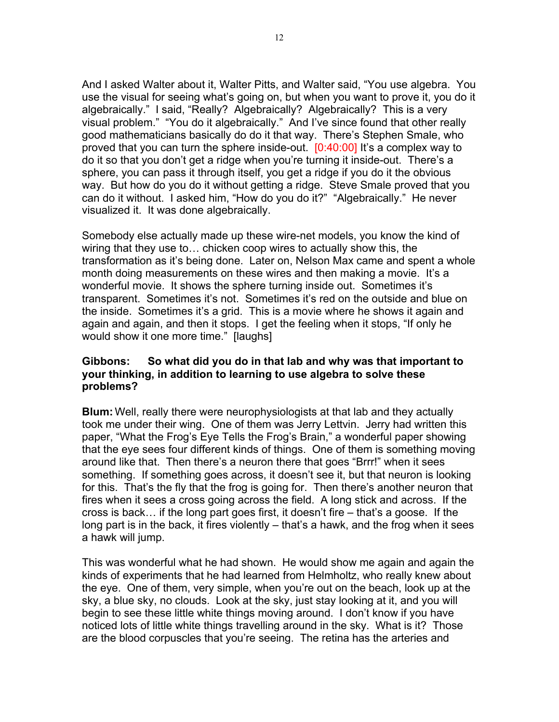And I asked Walter about it, Walter Pitts, and Walter said, "You use algebra. You use the visual for seeing what's going on, but when you want to prove it, you do it algebraically." I said, "Really? Algebraically? Algebraically? This is a very visual problem." "You do it algebraically." And I've since found that other really good mathematicians basically do do it that way. There's Stephen Smale, who proved that you can turn the sphere inside-out. [0:40:00] It's a complex way to do it so that you don't get a ridge when you're turning it inside-out. There's a sphere, you can pass it through itself, you get a ridge if you do it the obvious way. But how do you do it without getting a ridge. Steve Smale proved that you can do it without. I asked him, "How do you do it?" "Algebraically." He never visualized it. It was done algebraically.

Somebody else actually made up these wire-net models, you know the kind of wiring that they use to… chicken coop wires to actually show this, the transformation as it's being done. Later on, Nelson Max came and spent a whole month doing measurements on these wires and then making a movie. It's a wonderful movie. It shows the sphere turning inside out. Sometimes it's transparent. Sometimes it's not. Sometimes it's red on the outside and blue on the inside. Sometimes it's a grid. This is a movie where he shows it again and again and again, and then it stops. I get the feeling when it stops, "If only he would show it one more time." [laughs]

### **Gibbons: So what did you do in that lab and why was that important to your thinking, in addition to learning to use algebra to solve these problems?**

**Blum:** Well, really there were neurophysiologists at that lab and they actually took me under their wing. One of them was Jerry Lettvin. Jerry had written this paper, "What the Frog's Eye Tells the Frog's Brain," a wonderful paper showing that the eye sees four different kinds of things. One of them is something moving around like that. Then there's a neuron there that goes "Brrr!" when it sees something. If something goes across, it doesn't see it, but that neuron is looking for this. That's the fly that the frog is going for. Then there's another neuron that fires when it sees a cross going across the field. A long stick and across. If the cross is back… if the long part goes first, it doesn't fire – that's a goose. If the long part is in the back, it fires violently – that's a hawk, and the frog when it sees a hawk will jump.

This was wonderful what he had shown. He would show me again and again the kinds of experiments that he had learned from Helmholtz, who really knew about the eye. One of them, very simple, when you're out on the beach, look up at the sky, a blue sky, no clouds. Look at the sky, just stay looking at it, and you will begin to see these little white things moving around. I don't know if you have noticed lots of little white things travelling around in the sky. What is it? Those are the blood corpuscles that you're seeing. The retina has the arteries and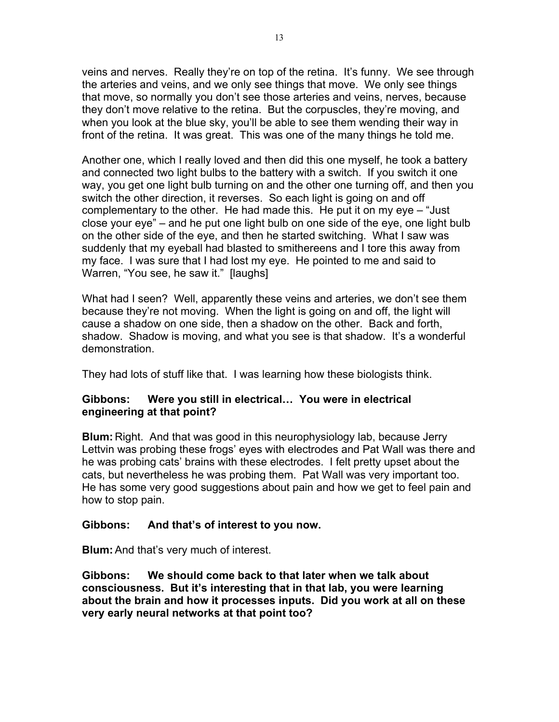veins and nerves. Really they're on top of the retina. It's funny. We see through the arteries and veins, and we only see things that move. We only see things that move, so normally you don't see those arteries and veins, nerves, because they don't move relative to the retina. But the corpuscles, they're moving, and when you look at the blue sky, you'll be able to see them wending their way in front of the retina. It was great. This was one of the many things he told me.

Another one, which I really loved and then did this one myself, he took a battery and connected two light bulbs to the battery with a switch. If you switch it one way, you get one light bulb turning on and the other one turning off, and then you switch the other direction, it reverses. So each light is going on and off complementary to the other. He had made this. He put it on my eye – "Just close your eye" – and he put one light bulb on one side of the eye, one light bulb on the other side of the eye, and then he started switching. What I saw was suddenly that my eyeball had blasted to smithereens and I tore this away from my face. I was sure that I had lost my eye. He pointed to me and said to Warren, "You see, he saw it." [laughs]

What had I seen? Well, apparently these veins and arteries, we don't see them because they're not moving. When the light is going on and off, the light will cause a shadow on one side, then a shadow on the other. Back and forth, shadow. Shadow is moving, and what you see is that shadow. It's a wonderful demonstration.

They had lots of stuff like that. I was learning how these biologists think.

# **Gibbons: Were you still in electrical… You were in electrical engineering at that point?**

**Blum:** Right. And that was good in this neurophysiology lab, because Jerry Lettvin was probing these frogs' eyes with electrodes and Pat Wall was there and he was probing cats' brains with these electrodes. I felt pretty upset about the cats, but nevertheless he was probing them. Pat Wall was very important too. He has some very good suggestions about pain and how we get to feel pain and how to stop pain.

# **Gibbons: And that's of interest to you now.**

**Blum:**And that's very much of interest.

**Gibbons: We should come back to that later when we talk about consciousness. But it's interesting that in that lab, you were learning about the brain and how it processes inputs. Did you work at all on these very early neural networks at that point too?**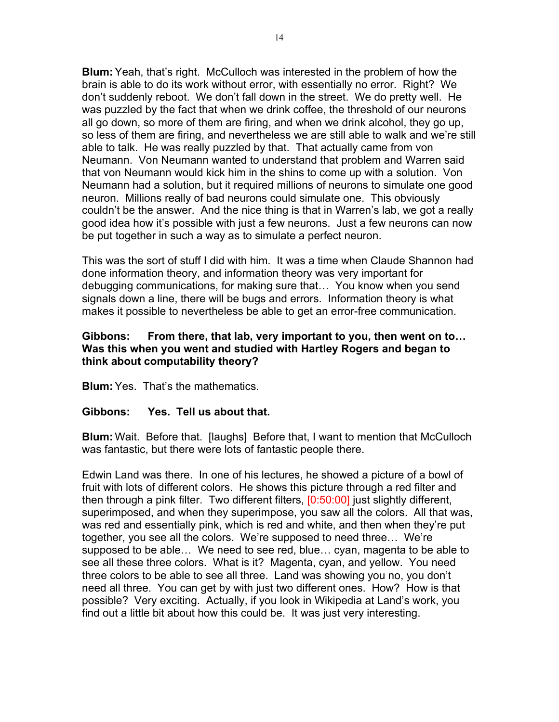**Blum:**Yeah, that's right. McCulloch was interested in the problem of how the brain is able to do its work without error, with essentially no error. Right? We don't suddenly reboot. We don't fall down in the street. We do pretty well. He was puzzled by the fact that when we drink coffee, the threshold of our neurons all go down, so more of them are firing, and when we drink alcohol, they go up, so less of them are firing, and nevertheless we are still able to walk and we're still able to talk. He was really puzzled by that. That actually came from von Neumann. Von Neumann wanted to understand that problem and Warren said that von Neumann would kick him in the shins to come up with a solution. Von Neumann had a solution, but it required millions of neurons to simulate one good neuron. Millions really of bad neurons could simulate one. This obviously couldn't be the answer. And the nice thing is that in Warren's lab, we got a really good idea how it's possible with just a few neurons. Just a few neurons can now be put together in such a way as to simulate a perfect neuron.

This was the sort of stuff I did with him. It was a time when Claude Shannon had done information theory, and information theory was very important for debugging communications, for making sure that… You know when you send signals down a line, there will be bugs and errors. Information theory is what makes it possible to nevertheless be able to get an error-free communication.

# **Gibbons: From there, that lab, very important to you, then went on to… Was this when you went and studied with Hartley Rogers and began to think about computability theory?**

**Blum:**Yes. That's the mathematics.

# **Gibbons: Yes. Tell us about that.**

**Blum:** Wait. Before that. [laughs] Before that, I want to mention that McCulloch was fantastic, but there were lots of fantastic people there.

Edwin Land was there. In one of his lectures, he showed a picture of a bowl of fruit with lots of different colors. He shows this picture through a red filter and then through a pink filter. Two different filters, [0:50:00] just slightly different, superimposed, and when they superimpose, you saw all the colors. All that was, was red and essentially pink, which is red and white, and then when they're put together, you see all the colors. We're supposed to need three… We're supposed to be able… We need to see red, blue… cyan, magenta to be able to see all these three colors. What is it? Magenta, cyan, and yellow. You need three colors to be able to see all three. Land was showing you no, you don't need all three. You can get by with just two different ones. How? How is that possible? Very exciting. Actually, if you look in Wikipedia at Land's work, you find out a little bit about how this could be. It was just very interesting.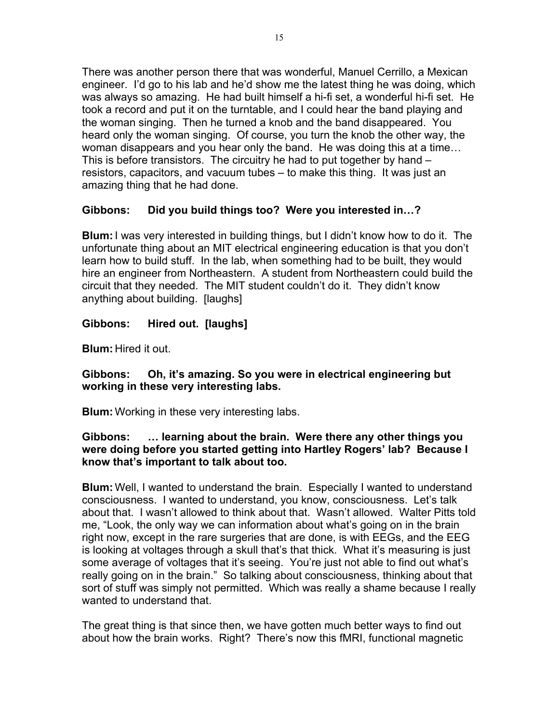There was another person there that was wonderful, Manuel Cerrillo, a Mexican engineer. I'd go to his lab and he'd show me the latest thing he was doing, which was always so amazing. He had built himself a hi-fi set, a wonderful hi-fi set. He took a record and put it on the turntable, and I could hear the band playing and the woman singing. Then he turned a knob and the band disappeared. You heard only the woman singing. Of course, you turn the knob the other way, the woman disappears and you hear only the band. He was doing this at a time… This is before transistors. The circuitry he had to put together by hand – resistors, capacitors, and vacuum tubes – to make this thing. It was just an amazing thing that he had done.

# **Gibbons: Did you build things too? Were you interested in…?**

**Blum:**I was very interested in building things, but I didn't know how to do it. The unfortunate thing about an MIT electrical engineering education is that you don't learn how to build stuff. In the lab, when something had to be built, they would hire an engineer from Northeastern. A student from Northeastern could build the circuit that they needed. The MIT student couldn't do it. They didn't know anything about building. [laughs]

# **Gibbons: Hired out. [laughs]**

**Blum:** Hired it out.

# **Gibbons: Oh, it's amazing. So you were in electrical engineering but working in these very interesting labs.**

**Blum:** Working in these very interesting labs.

# **Gibbons: … learning about the brain. Were there any other things you were doing before you started getting into Hartley Rogers' lab? Because I know that's important to talk about too.**

**Blum:** Well, I wanted to understand the brain. Especially I wanted to understand consciousness. I wanted to understand, you know, consciousness. Let's talk about that. I wasn't allowed to think about that. Wasn't allowed. Walter Pitts told me, "Look, the only way we can information about what's going on in the brain right now, except in the rare surgeries that are done, is with EEGs, and the EEG is looking at voltages through a skull that's that thick. What it's measuring is just some average of voltages that it's seeing. You're just not able to find out what's really going on in the brain." So talking about consciousness, thinking about that sort of stuff was simply not permitted. Which was really a shame because I really wanted to understand that.

The great thing is that since then, we have gotten much better ways to find out about how the brain works. Right? There's now this fMRI, functional magnetic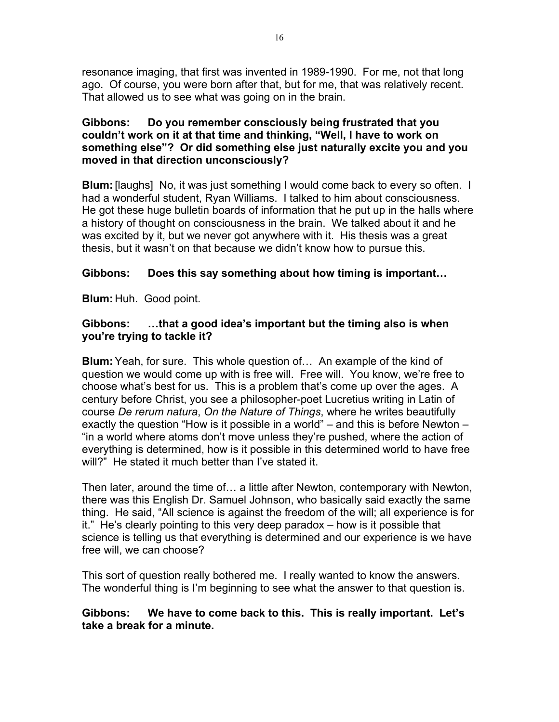resonance imaging, that first was invented in 1989-1990. For me, not that long ago. Of course, you were born after that, but for me, that was relatively recent. That allowed us to see what was going on in the brain.

# **Gibbons: Do you remember consciously being frustrated that you couldn't work on it at that time and thinking, "Well, I have to work on something else"? Or did something else just naturally excite you and you moved in that direction unconsciously?**

**Blum:**[laughs] No, it was just something I would come back to every so often. I had a wonderful student, Ryan Williams. I talked to him about consciousness. He got these huge bulletin boards of information that he put up in the halls where a history of thought on consciousness in the brain. We talked about it and he was excited by it, but we never got anywhere with it. His thesis was a great thesis, but it wasn't on that because we didn't know how to pursue this.

# **Gibbons: Does this say something about how timing is important…**

**Blum:** Huh. Good point.

# **Gibbons: …that a good idea's important but the timing also is when you're trying to tackle it?**

**Blum:**Yeah, for sure. This whole question of… An example of the kind of question we would come up with is free will. Free will. You know, we're free to choose what's best for us. This is a problem that's come up over the ages. A century before Christ, you see a philosopher-poet Lucretius writing in Latin of course *De rerum natura*, *On the Nature of Things*, where he writes beautifully exactly the question "How is it possible in a world" – and this is before Newton – "in a world where atoms don't move unless they're pushed, where the action of everything is determined, how is it possible in this determined world to have free will?" He stated it much better than I've stated it.

Then later, around the time of… a little after Newton, contemporary with Newton, there was this English Dr. Samuel Johnson, who basically said exactly the same thing. He said, "All science is against the freedom of the will; all experience is for it." He's clearly pointing to this very deep paradox – how is it possible that science is telling us that everything is determined and our experience is we have free will, we can choose?

This sort of question really bothered me. I really wanted to know the answers. The wonderful thing is I'm beginning to see what the answer to that question is.

# **Gibbons: We have to come back to this. This is really important. Let's take a break for a minute.**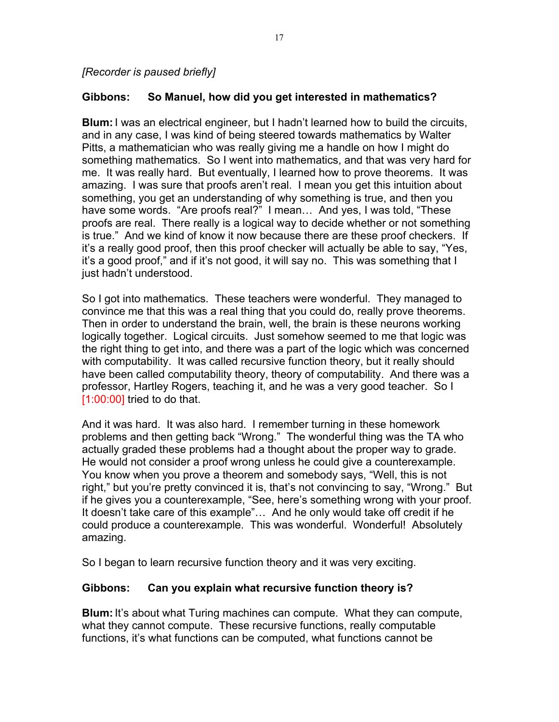*[Recorder is paused briefly]*

# **Gibbons: So Manuel, how did you get interested in mathematics?**

**Blum:**I was an electrical engineer, but I hadn't learned how to build the circuits, and in any case, I was kind of being steered towards mathematics by Walter Pitts, a mathematician who was really giving me a handle on how I might do something mathematics. So I went into mathematics, and that was very hard for me. It was really hard. But eventually, I learned how to prove theorems. It was amazing. I was sure that proofs aren't real. I mean you get this intuition about something, you get an understanding of why something is true, and then you have some words. "Are proofs real?" I mean… And yes, I was told, "These proofs are real. There really is a logical way to decide whether or not something is true." And we kind of know it now because there are these proof checkers. If it's a really good proof, then this proof checker will actually be able to say, "Yes, it's a good proof," and if it's not good, it will say no. This was something that I just hadn't understood.

So I got into mathematics. These teachers were wonderful. They managed to convince me that this was a real thing that you could do, really prove theorems. Then in order to understand the brain, well, the brain is these neurons working logically together. Logical circuits. Just somehow seemed to me that logic was the right thing to get into, and there was a part of the logic which was concerned with computability. It was called recursive function theory, but it really should have been called computability theory, theory of computability. And there was a professor, Hartley Rogers, teaching it, and he was a very good teacher. So I [1:00:00] tried to do that.

And it was hard. It was also hard. I remember turning in these homework problems and then getting back "Wrong." The wonderful thing was the TA who actually graded these problems had a thought about the proper way to grade. He would not consider a proof wrong unless he could give a counterexample. You know when you prove a theorem and somebody says, "Well, this is not right," but you're pretty convinced it is, that's not convincing to say, "Wrong." But if he gives you a counterexample, "See, here's something wrong with your proof. It doesn't take care of this example"… And he only would take off credit if he could produce a counterexample. This was wonderful. Wonderful! Absolutely amazing.

So I began to learn recursive function theory and it was very exciting.

# **Gibbons: Can you explain what recursive function theory is?**

**Blum:**It's about what Turing machines can compute. What they can compute, what they cannot compute. These recursive functions, really computable functions, it's what functions can be computed, what functions cannot be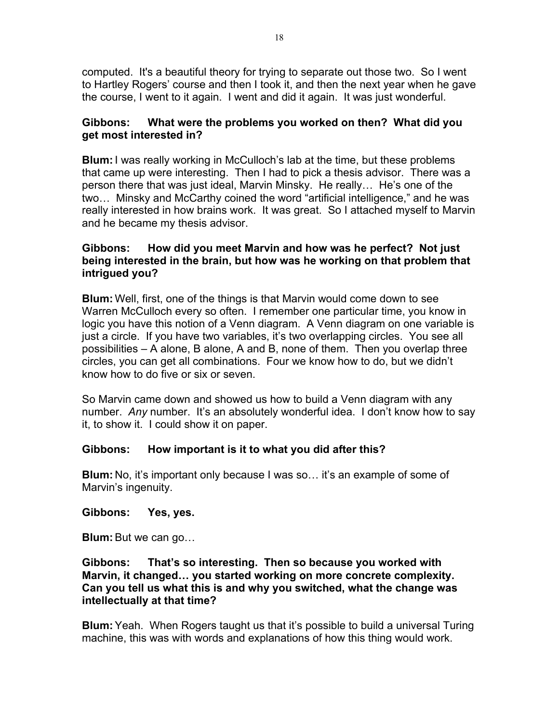computed. It's a beautiful theory for trying to separate out those two. So I went to Hartley Rogers' course and then I took it, and then the next year when he gave the course, I went to it again. I went and did it again. It was just wonderful.

# **Gibbons: What were the problems you worked on then? What did you get most interested in?**

**Blum:**I was really working in McCulloch's lab at the time, but these problems that came up were interesting. Then I had to pick a thesis advisor. There was a person there that was just ideal, Marvin Minsky. He really… He's one of the two… Minsky and McCarthy coined the word "artificial intelligence," and he was really interested in how brains work. It was great. So I attached myself to Marvin and he became my thesis advisor.

# **Gibbons: How did you meet Marvin and how was he perfect? Not just being interested in the brain, but how was he working on that problem that intrigued you?**

**Blum:** Well, first, one of the things is that Marvin would come down to see Warren McCulloch every so often. I remember one particular time, you know in logic you have this notion of a Venn diagram. A Venn diagram on one variable is just a circle. If you have two variables, it's two overlapping circles. You see all possibilities – A alone, B alone, A and B, none of them. Then you overlap three circles, you can get all combinations. Four we know how to do, but we didn't know how to do five or six or seven.

So Marvin came down and showed us how to build a Venn diagram with any number. *Any* number. It's an absolutely wonderful idea. I don't know how to say it, to show it. I could show it on paper.

# **Gibbons: How important is it to what you did after this?**

**Blum:** No, it's important only because I was so… it's an example of some of Marvin's ingenuity.

# **Gibbons: Yes, yes.**

**Blum:** But we can go...

### **Gibbons: That's so interesting. Then so because you worked with Marvin, it changed… you started working on more concrete complexity. Can you tell us what this is and why you switched, what the change was intellectually at that time?**

**Blum:**Yeah. When Rogers taught us that it's possible to build a universal Turing machine, this was with words and explanations of how this thing would work.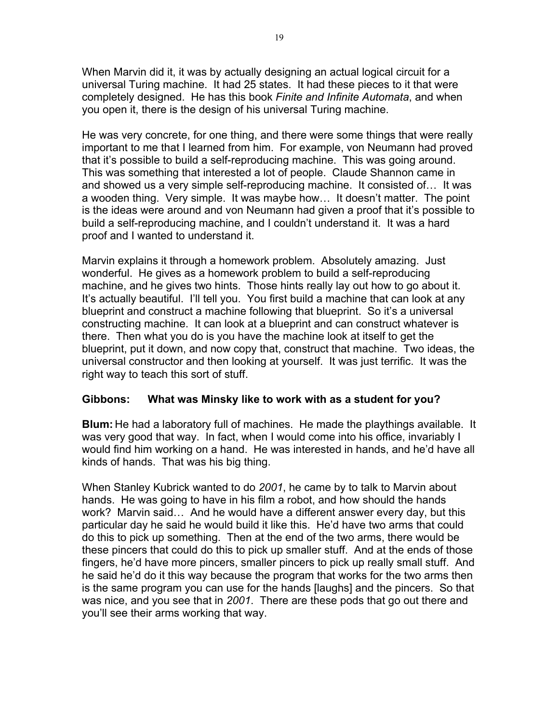When Marvin did it, it was by actually designing an actual logical circuit for a universal Turing machine. It had 25 states. It had these pieces to it that were completely designed. He has this book *Finite and Infinite Automata*, and when you open it, there is the design of his universal Turing machine.

He was very concrete, for one thing, and there were some things that were really important to me that I learned from him. For example, von Neumann had proved that it's possible to build a self-reproducing machine. This was going around. This was something that interested a lot of people. Claude Shannon came in and showed us a very simple self-reproducing machine. It consisted of… It was a wooden thing. Very simple. It was maybe how… It doesn't matter. The point is the ideas were around and von Neumann had given a proof that it's possible to build a self-reproducing machine, and I couldn't understand it. It was a hard proof and I wanted to understand it.

Marvin explains it through a homework problem. Absolutely amazing. Just wonderful. He gives as a homework problem to build a self-reproducing machine, and he gives two hints. Those hints really lay out how to go about it. It's actually beautiful. I'll tell you. You first build a machine that can look at any blueprint and construct a machine following that blueprint. So it's a universal constructing machine. It can look at a blueprint and can construct whatever is there. Then what you do is you have the machine look at itself to get the blueprint, put it down, and now copy that, construct that machine. Two ideas, the universal constructor and then looking at yourself. It was just terrific. It was the right way to teach this sort of stuff.

# **Gibbons: What was Minsky like to work with as a student for you?**

**Blum:** He had a laboratory full of machines. He made the playthings available. It was very good that way. In fact, when I would come into his office, invariably I would find him working on a hand. He was interested in hands, and he'd have all kinds of hands. That was his big thing.

When Stanley Kubrick wanted to do *2001*, he came by to talk to Marvin about hands. He was going to have in his film a robot, and how should the hands work? Marvin said… And he would have a different answer every day, but this particular day he said he would build it like this. He'd have two arms that could do this to pick up something. Then at the end of the two arms, there would be these pincers that could do this to pick up smaller stuff. And at the ends of those fingers, he'd have more pincers, smaller pincers to pick up really small stuff. And he said he'd do it this way because the program that works for the two arms then is the same program you can use for the hands [laughs] and the pincers. So that was nice, and you see that in *2001*. There are these pods that go out there and you'll see their arms working that way.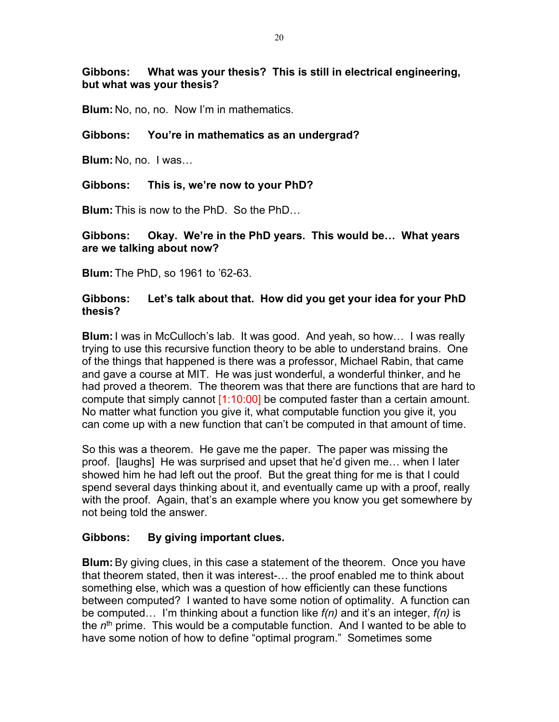# **Gibbons: What was your thesis? This is still in electrical engineering, but what was your thesis?**

**Blum:** No, no, no. Now I'm in mathematics.

# **Gibbons: You're in mathematics as an undergrad?**

**Blum:** No, no. I was…

# **Gibbons: This is, we're now to your PhD?**

**Blum:** This is now to the PhD. So the PhD…

# **Gibbons: Okay. We're in the PhD years. This would be… What years are we talking about now?**

**Blum:** The PhD, so 1961 to '62-63.

# **Gibbons: Let's talk about that. How did you get your idea for your PhD thesis?**

**Blum:**I was in McCulloch's lab. It was good. And yeah, so how… I was really trying to use this recursive function theory to be able to understand brains. One of the things that happened is there was a professor, Michael Rabin, that came and gave a course at MIT. He was just wonderful, a wonderful thinker, and he had proved a theorem. The theorem was that there are functions that are hard to compute that simply cannot  $[1:10:00]$  be computed faster than a certain amount. No matter what function you give it, what computable function you give it, you can come up with a new function that can't be computed in that amount of time.

So this was a theorem. He gave me the paper. The paper was missing the proof. [laughs] He was surprised and upset that he'd given me… when I later showed him he had left out the proof. But the great thing for me is that I could spend several days thinking about it, and eventually came up with a proof, really with the proof. Again, that's an example where you know you get somewhere by not being told the answer.

# **Gibbons: By giving important clues.**

**Blum:**By giving clues, in this case a statement of the theorem. Once you have that theorem stated, then it was interest-… the proof enabled me to think about something else, which was a question of how efficiently can these functions between computed? I wanted to have some notion of optimality. A function can be computed… I'm thinking about a function like *f(n)* and it's an integer, *f(n)* is the *n*th prime. This would be a computable function. And I wanted to be able to have some notion of how to define "optimal program." Sometimes some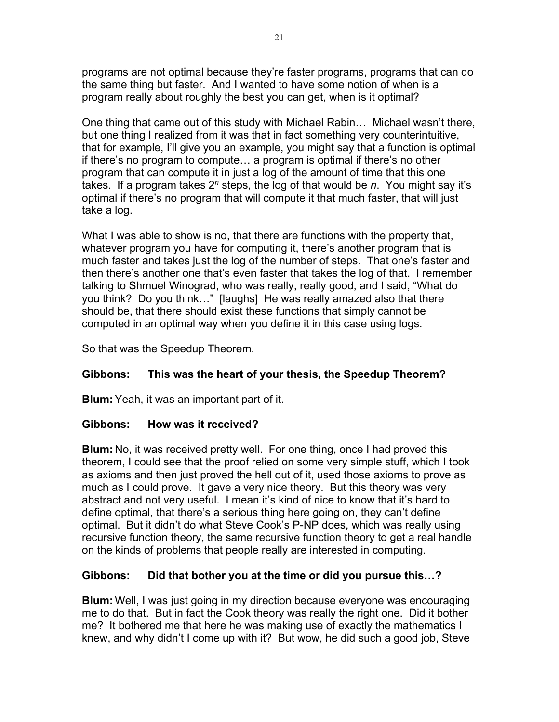programs are not optimal because they're faster programs, programs that can do the same thing but faster. And I wanted to have some notion of when is a program really about roughly the best you can get, when is it optimal?

One thing that came out of this study with Michael Rabin… Michael wasn't there, but one thing I realized from it was that in fact something very counterintuitive, that for example, I'll give you an example, you might say that a function is optimal if there's no program to compute… a program is optimal if there's no other program that can compute it in just a log of the amount of time that this one takes. If a program takes 2*<sup>n</sup>* steps, the log of that would be *n*. You might say it's optimal if there's no program that will compute it that much faster, that will just take a log.

What I was able to show is no, that there are functions with the property that, whatever program you have for computing it, there's another program that is much faster and takes just the log of the number of steps. That one's faster and then there's another one that's even faster that takes the log of that. I remember talking to Shmuel Winograd, who was really, really good, and I said, "What do you think? Do you think…" [laughs] He was really amazed also that there should be, that there should exist these functions that simply cannot be computed in an optimal way when you define it in this case using logs.

So that was the Speedup Theorem.

# **Gibbons: This was the heart of your thesis, the Speedup Theorem?**

**Blum:**Yeah, it was an important part of it.

# **Gibbons: How was it received?**

**Blum:** No, it was received pretty well. For one thing, once I had proved this theorem, I could see that the proof relied on some very simple stuff, which I took as axioms and then just proved the hell out of it, used those axioms to prove as much as I could prove. It gave a very nice theory. But this theory was very abstract and not very useful. I mean it's kind of nice to know that it's hard to define optimal, that there's a serious thing here going on, they can't define optimal. But it didn't do what Steve Cook's P-NP does, which was really using recursive function theory, the same recursive function theory to get a real handle on the kinds of problems that people really are interested in computing.

# **Gibbons: Did that bother you at the time or did you pursue this…?**

**Blum:** Well, I was just going in my direction because everyone was encouraging me to do that. But in fact the Cook theory was really the right one. Did it bother me? It bothered me that here he was making use of exactly the mathematics I knew, and why didn't I come up with it? But wow, he did such a good job, Steve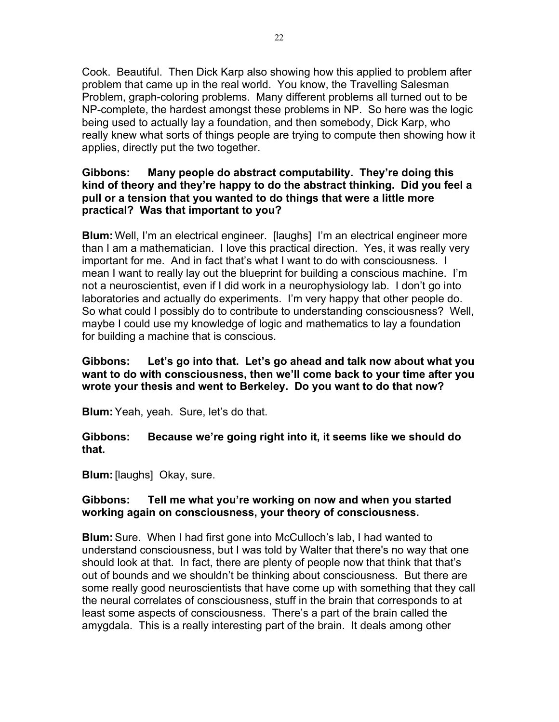Cook. Beautiful. Then Dick Karp also showing how this applied to problem after problem that came up in the real world. You know, the Travelling Salesman Problem, graph-coloring problems. Many different problems all turned out to be NP-complete, the hardest amongst these problems in NP. So here was the logic being used to actually lay a foundation, and then somebody, Dick Karp, who really knew what sorts of things people are trying to compute then showing how it applies, directly put the two together.

# **Gibbons: Many people do abstract computability. They're doing this kind of theory and they're happy to do the abstract thinking. Did you feel a pull or a tension that you wanted to do things that were a little more practical? Was that important to you?**

**Blum:** Well, I'm an electrical engineer. [laughs] I'm an electrical engineer more than I am a mathematician. I love this practical direction. Yes, it was really very important for me. And in fact that's what I want to do with consciousness. I mean I want to really lay out the blueprint for building a conscious machine. I'm not a neuroscientist, even if I did work in a neurophysiology lab. I don't go into laboratories and actually do experiments. I'm very happy that other people do. So what could I possibly do to contribute to understanding consciousness? Well, maybe I could use my knowledge of logic and mathematics to lay a foundation for building a machine that is conscious.

# **Gibbons: Let's go into that. Let's go ahead and talk now about what you want to do with consciousness, then we'll come back to your time after you wrote your thesis and went to Berkeley. Do you want to do that now?**

**Blum:**Yeah, yeah. Sure, let's do that.

**Gibbons: Because we're going right into it, it seems like we should do that.**

**Blum:**[laughs] Okay, sure.

# **Gibbons: Tell me what you're working on now and when you started working again on consciousness, your theory of consciousness.**

**Blum:**Sure. When I had first gone into McCulloch's lab, I had wanted to understand consciousness, but I was told by Walter that there's no way that one should look at that. In fact, there are plenty of people now that think that that's out of bounds and we shouldn't be thinking about consciousness. But there are some really good neuroscientists that have come up with something that they call the neural correlates of consciousness, stuff in the brain that corresponds to at least some aspects of consciousness. There's a part of the brain called the amygdala. This is a really interesting part of the brain. It deals among other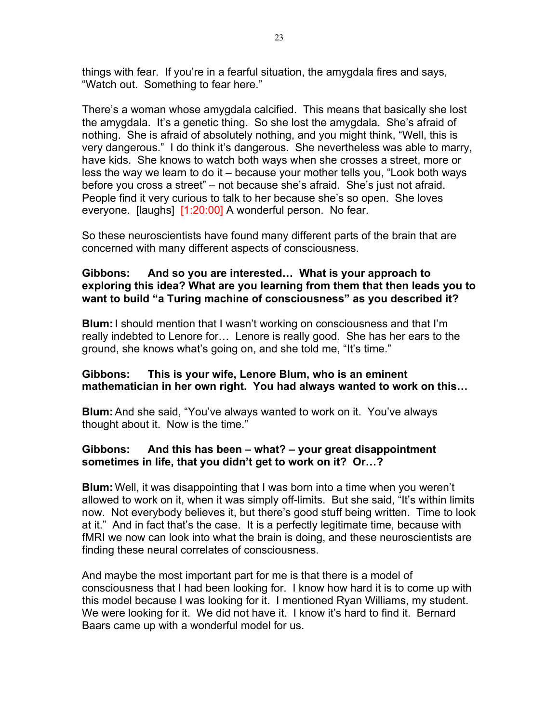things with fear. If you're in a fearful situation, the amygdala fires and says, "Watch out. Something to fear here."

There's a woman whose amygdala calcified. This means that basically she lost the amygdala. It's a genetic thing. So she lost the amygdala. She's afraid of nothing. She is afraid of absolutely nothing, and you might think, "Well, this is very dangerous." I do think it's dangerous. She nevertheless was able to marry, have kids. She knows to watch both ways when she crosses a street, more or less the way we learn to do it – because your mother tells you, "Look both ways before you cross a street" – not because she's afraid. She's just not afraid. People find it very curious to talk to her because she's so open. She loves everyone. [laughs] [1:20:00] A wonderful person. No fear.

So these neuroscientists have found many different parts of the brain that are concerned with many different aspects of consciousness.

# **Gibbons: And so you are interested… What is your approach to exploring this idea? What are you learning from them that then leads you to want to build "a Turing machine of consciousness" as you described it?**

**Blum:**I should mention that I wasn't working on consciousness and that I'm really indebted to Lenore for… Lenore is really good. She has her ears to the ground, she knows what's going on, and she told me, "It's time."

#### **Gibbons: This is your wife, Lenore Blum, who is an eminent mathematician in her own right. You had always wanted to work on this…**

**Blum:**And she said, "You've always wanted to work on it. You've always thought about it. Now is the time."

# **Gibbons: And this has been – what? – your great disappointment sometimes in life, that you didn't get to work on it? Or…?**

**Blum:** Well, it was disappointing that I was born into a time when you weren't allowed to work on it, when it was simply off-limits. But she said, "It's within limits now. Not everybody believes it, but there's good stuff being written. Time to look at it." And in fact that's the case. It is a perfectly legitimate time, because with fMRI we now can look into what the brain is doing, and these neuroscientists are finding these neural correlates of consciousness.

And maybe the most important part for me is that there is a model of consciousness that I had been looking for. I know how hard it is to come up with this model because I was looking for it. I mentioned Ryan Williams, my student. We were looking for it. We did not have it. I know it's hard to find it. Bernard Baars came up with a wonderful model for us.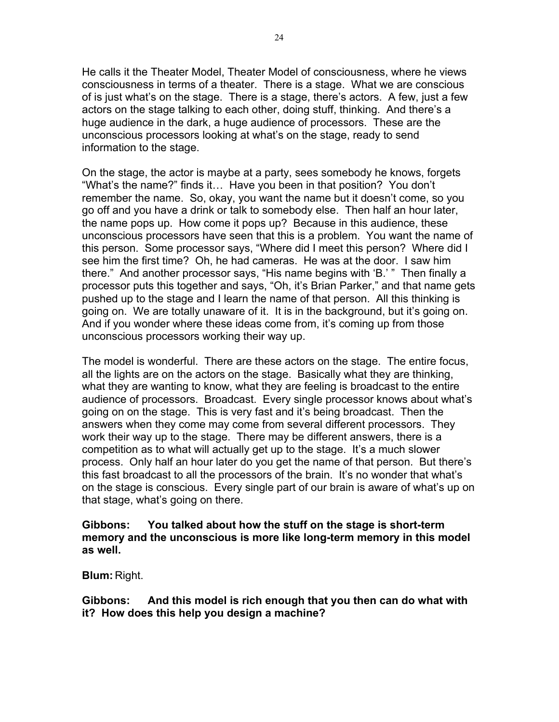He calls it the Theater Model, Theater Model of consciousness, where he views consciousness in terms of a theater. There is a stage. What we are conscious of is just what's on the stage. There is a stage, there's actors. A few, just a few actors on the stage talking to each other, doing stuff, thinking. And there's a huge audience in the dark, a huge audience of processors. These are the unconscious processors looking at what's on the stage, ready to send information to the stage.

On the stage, the actor is maybe at a party, sees somebody he knows, forgets "What's the name?" finds it… Have you been in that position? You don't remember the name. So, okay, you want the name but it doesn't come, so you go off and you have a drink or talk to somebody else. Then half an hour later, the name pops up. How come it pops up? Because in this audience, these unconscious processors have seen that this is a problem. You want the name of this person. Some processor says, "Where did I meet this person? Where did I see him the first time? Oh, he had cameras. He was at the door. I saw him there." And another processor says, "His name begins with 'B.' " Then finally a processor puts this together and says, "Oh, it's Brian Parker," and that name gets pushed up to the stage and I learn the name of that person. All this thinking is going on. We are totally unaware of it. It is in the background, but it's going on. And if you wonder where these ideas come from, it's coming up from those unconscious processors working their way up.

The model is wonderful. There are these actors on the stage. The entire focus, all the lights are on the actors on the stage. Basically what they are thinking, what they are wanting to know, what they are feeling is broadcast to the entire audience of processors. Broadcast. Every single processor knows about what's going on on the stage. This is very fast and it's being broadcast. Then the answers when they come may come from several different processors. They work their way up to the stage. There may be different answers, there is a competition as to what will actually get up to the stage. It's a much slower process. Only half an hour later do you get the name of that person. But there's this fast broadcast to all the processors of the brain. It's no wonder that what's on the stage is conscious. Every single part of our brain is aware of what's up on that stage, what's going on there.

#### **Gibbons: You talked about how the stuff on the stage is short-term memory and the unconscious is more like long-term memory in this model as well.**

**Blum:** Right.

**Gibbons: And this model is rich enough that you then can do what with it? How does this help you design a machine?**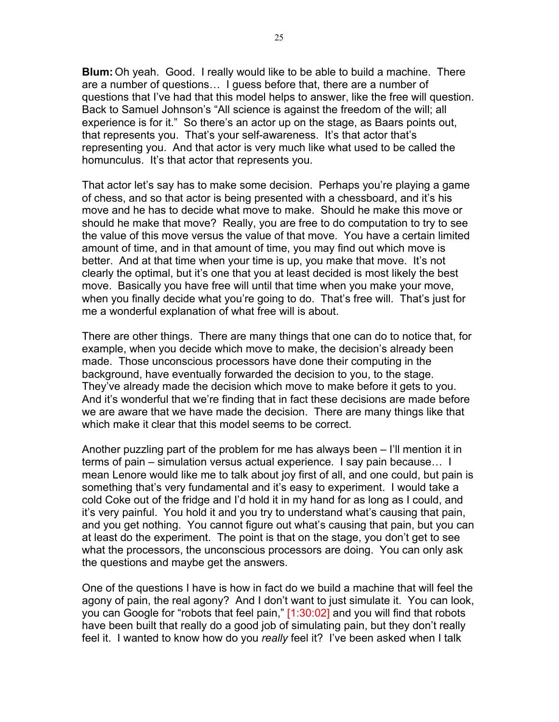**Blum:** Oh yeah. Good. I really would like to be able to build a machine. There are a number of questions… I guess before that, there are a number of questions that I've had that this model helps to answer, like the free will question. Back to Samuel Johnson's "All science is against the freedom of the will; all experience is for it." So there's an actor up on the stage, as Baars points out, that represents you. That's your self-awareness. It's that actor that's representing you. And that actor is very much like what used to be called the homunculus. It's that actor that represents you.

That actor let's say has to make some decision. Perhaps you're playing a game of chess, and so that actor is being presented with a chessboard, and it's his move and he has to decide what move to make. Should he make this move or should he make that move? Really, you are free to do computation to try to see the value of this move versus the value of that move. You have a certain limited amount of time, and in that amount of time, you may find out which move is better. And at that time when your time is up, you make that move. It's not clearly the optimal, but it's one that you at least decided is most likely the best move. Basically you have free will until that time when you make your move, when you finally decide what you're going to do. That's free will. That's just for me a wonderful explanation of what free will is about.

There are other things. There are many things that one can do to notice that, for example, when you decide which move to make, the decision's already been made. Those unconscious processors have done their computing in the background, have eventually forwarded the decision to you, to the stage. They've already made the decision which move to make before it gets to you. And it's wonderful that we're finding that in fact these decisions are made before we are aware that we have made the decision. There are many things like that which make it clear that this model seems to be correct.

Another puzzling part of the problem for me has always been – I'll mention it in terms of pain – simulation versus actual experience. I say pain because… I mean Lenore would like me to talk about joy first of all, and one could, but pain is something that's very fundamental and it's easy to experiment. I would take a cold Coke out of the fridge and I'd hold it in my hand for as long as I could, and it's very painful. You hold it and you try to understand what's causing that pain, and you get nothing. You cannot figure out what's causing that pain, but you can at least do the experiment. The point is that on the stage, you don't get to see what the processors, the unconscious processors are doing. You can only ask the questions and maybe get the answers.

One of the questions I have is how in fact do we build a machine that will feel the agony of pain, the real agony? And I don't want to just simulate it. You can look, you can Google for "robots that feel pain," [1:30:02] and you will find that robots have been built that really do a good job of simulating pain, but they don't really feel it. I wanted to know how do you *really* feel it? I've been asked when I talk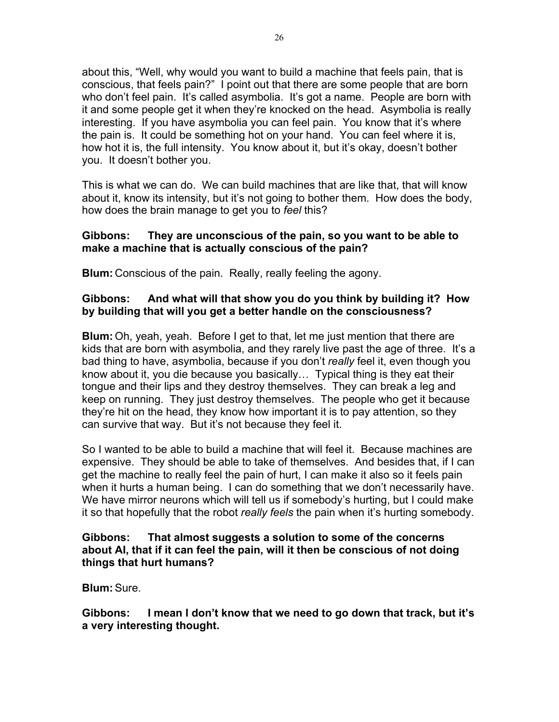about this, "Well, why would you want to build a machine that feels pain, that is conscious, that feels pain?" I point out that there are some people that are born who don't feel pain. It's called asymbolia. It's got a name. People are born with it and some people get it when they're knocked on the head. Asymbolia is really interesting. If you have asymbolia you can feel pain. You know that it's where the pain is. It could be something hot on your hand. You can feel where it is, how hot it is, the full intensity. You know about it, but it's okay, doesn't bother you. It doesn't bother you.

This is what we can do. We can build machines that are like that, that will know about it, know its intensity, but it's not going to bother them. How does the body, how does the brain manage to get you to *feel* this?

# **Gibbons: They are unconscious of the pain, so you want to be able to make a machine that is actually conscious of the pain?**

**Blum:** Conscious of the pain. Really, really feeling the agony.

# **Gibbons: And what will that show you do you think by building it? How by building that will you get a better handle on the consciousness?**

**Blum:** Oh, yeah, yeah. Before I get to that, let me just mention that there are kids that are born with asymbolia, and they rarely live past the age of three. It's a bad thing to have, asymbolia, because if you don't *really* feel it, even though you know about it, you die because you basically… Typical thing is they eat their tongue and their lips and they destroy themselves. They can break a leg and keep on running. They just destroy themselves. The people who get it because they're hit on the head, they know how important it is to pay attention, so they can survive that way. But it's not because they feel it.

So I wanted to be able to build a machine that will feel it. Because machines are expensive. They should be able to take of themselves. And besides that, if I can get the machine to really feel the pain of hurt, I can make it also so it feels pain when it hurts a human being. I can do something that we don't necessarily have. We have mirror neurons which will tell us if somebody's hurting, but I could make it so that hopefully that the robot *really feels* the pain when it's hurting somebody.

# **Gibbons: That almost suggests a solution to some of the concerns about AI, that if it can feel the pain, will it then be conscious of not doing things that hurt humans?**

**Blum:**Sure.

**Gibbons: I mean I don't know that we need to go down that track, but it's a very interesting thought.**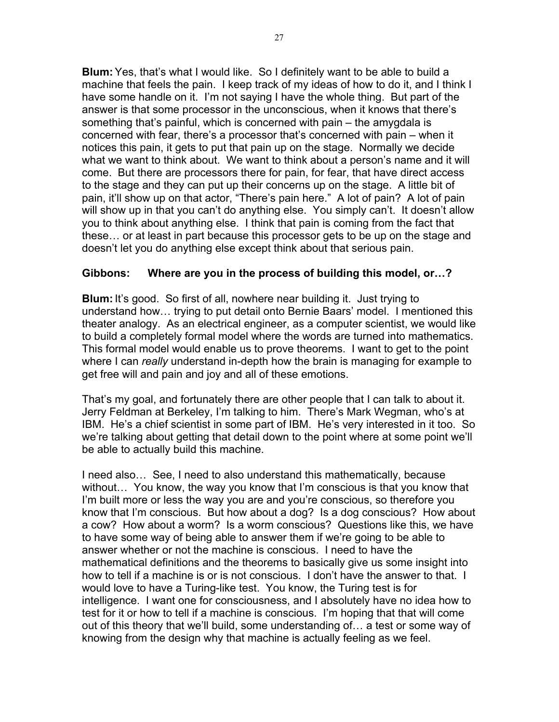**Blum:**Yes, that's what I would like. So I definitely want to be able to build a machine that feels the pain. I keep track of my ideas of how to do it, and I think I have some handle on it. I'm not saying I have the whole thing. But part of the answer is that some processor in the unconscious, when it knows that there's something that's painful, which is concerned with pain – the amygdala is concerned with fear, there's a processor that's concerned with pain – when it notices this pain, it gets to put that pain up on the stage. Normally we decide what we want to think about. We want to think about a person's name and it will come. But there are processors there for pain, for fear, that have direct access to the stage and they can put up their concerns up on the stage. A little bit of pain, it'll show up on that actor, "There's pain here." A lot of pain? A lot of pain will show up in that you can't do anything else. You simply can't. It doesn't allow you to think about anything else. I think that pain is coming from the fact that these… or at least in part because this processor gets to be up on the stage and doesn't let you do anything else except think about that serious pain.

# **Gibbons: Where are you in the process of building this model, or…?**

**Blum:**It's good. So first of all, nowhere near building it. Just trying to understand how… trying to put detail onto Bernie Baars' model. I mentioned this theater analogy. As an electrical engineer, as a computer scientist, we would like to build a completely formal model where the words are turned into mathematics. This formal model would enable us to prove theorems. I want to get to the point where I can *really* understand in-depth how the brain is managing for example to get free will and pain and joy and all of these emotions.

That's my goal, and fortunately there are other people that I can talk to about it. Jerry Feldman at Berkeley, I'm talking to him. There's Mark Wegman, who's at IBM. He's a chief scientist in some part of IBM. He's very interested in it too. So we're talking about getting that detail down to the point where at some point we'll be able to actually build this machine.

I need also… See, I need to also understand this mathematically, because without… You know, the way you know that I'm conscious is that you know that I'm built more or less the way you are and you're conscious, so therefore you know that I'm conscious. But how about a dog? Is a dog conscious? How about a cow? How about a worm? Is a worm conscious? Questions like this, we have to have some way of being able to answer them if we're going to be able to answer whether or not the machine is conscious. I need to have the mathematical definitions and the theorems to basically give us some insight into how to tell if a machine is or is not conscious. I don't have the answer to that. I would love to have a Turing-like test. You know, the Turing test is for intelligence. I want one for consciousness, and I absolutely have no idea how to test for it or how to tell if a machine is conscious. I'm hoping that that will come out of this theory that we'll build, some understanding of… a test or some way of knowing from the design why that machine is actually feeling as we feel.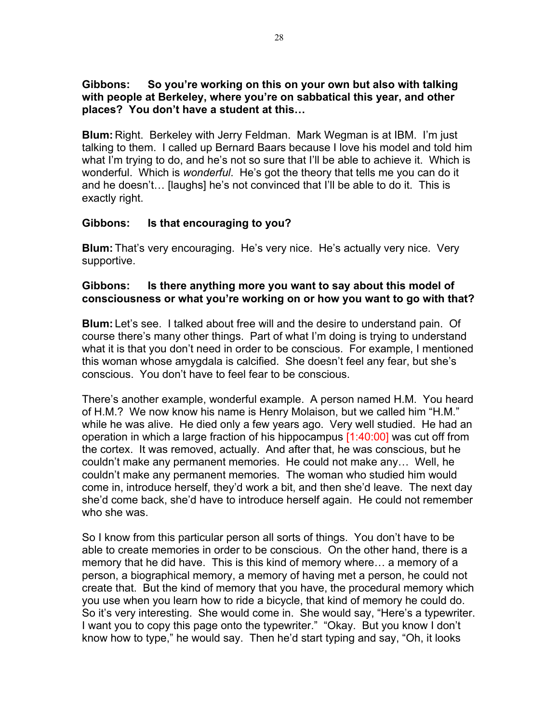# **Gibbons: So you're working on this on your own but also with talking with people at Berkeley, where you're on sabbatical this year, and other places? You don't have a student at this…**

**Blum:** Right. Berkeley with Jerry Feldman. Mark Wegman is at IBM. I'm just talking to them. I called up Bernard Baars because I love his model and told him what I'm trying to do, and he's not so sure that I'll be able to achieve it. Which is wonderful. Which is *wonderful*. He's got the theory that tells me you can do it and he doesn't… [laughs] he's not convinced that I'll be able to do it. This is exactly right.

# **Gibbons: Is that encouraging to you?**

**Blum:** That's very encouraging. He's very nice. He's actually very nice. Very supportive.

### **Gibbons: Is there anything more you want to say about this model of consciousness or what you're working on or how you want to go with that?**

**Blum:** Let's see. I talked about free will and the desire to understand pain. Of course there's many other things. Part of what I'm doing is trying to understand what it is that you don't need in order to be conscious. For example, I mentioned this woman whose amygdala is calcified. She doesn't feel any fear, but she's conscious. You don't have to feel fear to be conscious.

There's another example, wonderful example. A person named H.M. You heard of H.M.? We now know his name is Henry Molaison, but we called him "H.M." while he was alive. He died only a few years ago. Very well studied. He had an operation in which a large fraction of his hippocampus [1:40:00] was cut off from the cortex. It was removed, actually. And after that, he was conscious, but he couldn't make any permanent memories. He could not make any… Well, he couldn't make any permanent memories. The woman who studied him would come in, introduce herself, they'd work a bit, and then she'd leave. The next day she'd come back, she'd have to introduce herself again. He could not remember who she was.

So I know from this particular person all sorts of things. You don't have to be able to create memories in order to be conscious. On the other hand, there is a memory that he did have. This is this kind of memory where… a memory of a person, a biographical memory, a memory of having met a person, he could not create that. But the kind of memory that you have, the procedural memory which you use when you learn how to ride a bicycle, that kind of memory he could do. So it's very interesting. She would come in. She would say, "Here's a typewriter. I want you to copy this page onto the typewriter." "Okay. But you know I don't know how to type," he would say. Then he'd start typing and say, "Oh, it looks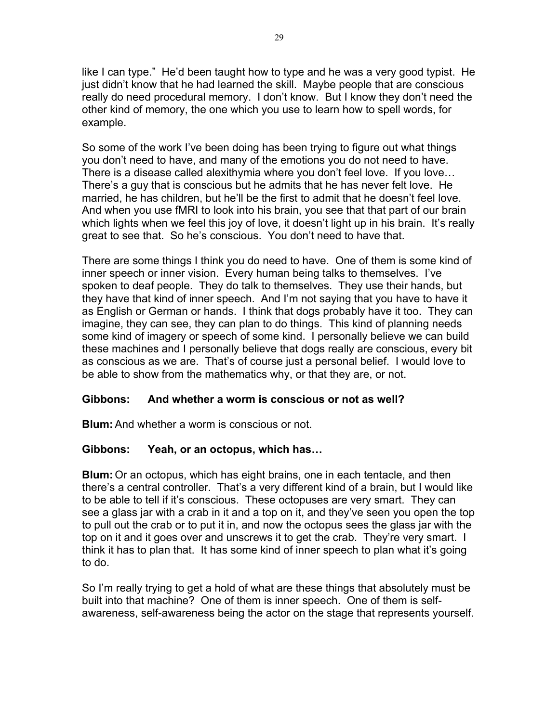like I can type." He'd been taught how to type and he was a very good typist. He just didn't know that he had learned the skill. Maybe people that are conscious really do need procedural memory. I don't know. But I know they don't need the other kind of memory, the one which you use to learn how to spell words, for example.

So some of the work I've been doing has been trying to figure out what things you don't need to have, and many of the emotions you do not need to have. There is a disease called alexithymia where you don't feel love. If you love… There's a guy that is conscious but he admits that he has never felt love. He married, he has children, but he'll be the first to admit that he doesn't feel love. And when you use fMRI to look into his brain, you see that that part of our brain which lights when we feel this joy of love, it doesn't light up in his brain. It's really great to see that. So he's conscious. You don't need to have that.

There are some things I think you do need to have. One of them is some kind of inner speech or inner vision. Every human being talks to themselves. I've spoken to deaf people. They do talk to themselves. They use their hands, but they have that kind of inner speech. And I'm not saying that you have to have it as English or German or hands. I think that dogs probably have it too. They can imagine, they can see, they can plan to do things. This kind of planning needs some kind of imagery or speech of some kind. I personally believe we can build these machines and I personally believe that dogs really are conscious, every bit as conscious as we are. That's of course just a personal belief. I would love to be able to show from the mathematics why, or that they are, or not.

# **Gibbons: And whether a worm is conscious or not as well?**

**Blum:**And whether a worm is conscious or not.

# **Gibbons: Yeah, or an octopus, which has…**

**Blum:** Or an octopus, which has eight brains, one in each tentacle, and then there's a central controller. That's a very different kind of a brain, but I would like to be able to tell if it's conscious. These octopuses are very smart. They can see a glass jar with a crab in it and a top on it, and they've seen you open the top to pull out the crab or to put it in, and now the octopus sees the glass jar with the top on it and it goes over and unscrews it to get the crab. They're very smart. I think it has to plan that. It has some kind of inner speech to plan what it's going to do.

So I'm really trying to get a hold of what are these things that absolutely must be built into that machine? One of them is inner speech. One of them is selfawareness, self-awareness being the actor on the stage that represents yourself.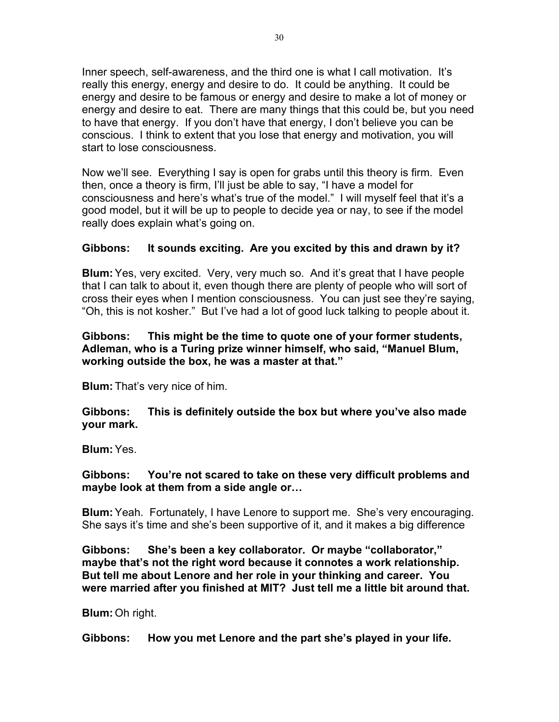Inner speech, self-awareness, and the third one is what I call motivation. It's really this energy, energy and desire to do. It could be anything. It could be energy and desire to be famous or energy and desire to make a lot of money or energy and desire to eat. There are many things that this could be, but you need to have that energy. If you don't have that energy, I don't believe you can be conscious. I think to extent that you lose that energy and motivation, you will start to lose consciousness.

Now we'll see. Everything I say is open for grabs until this theory is firm. Even then, once a theory is firm, I'll just be able to say, "I have a model for consciousness and here's what's true of the model." I will myself feel that it's a good model, but it will be up to people to decide yea or nay, to see if the model really does explain what's going on.

# **Gibbons: It sounds exciting. Are you excited by this and drawn by it?**

**Blum:**Yes, very excited. Very, very much so. And it's great that I have people that I can talk to about it, even though there are plenty of people who will sort of cross their eyes when I mention consciousness. You can just see they're saying, "Oh, this is not kosher." But I've had a lot of good luck talking to people about it.

### **Gibbons: This might be the time to quote one of your former students, Adleman, who is a Turing prize winner himself, who said, "Manuel Blum, working outside the box, he was a master at that."**

**Blum:** That's very nice of him.

**Gibbons: This is definitely outside the box but where you've also made your mark.**

**Blum:**Yes.

**Gibbons: You're not scared to take on these very difficult problems and maybe look at them from a side angle or…**

**Blum:**Yeah. Fortunately, I have Lenore to support me. She's very encouraging. She says it's time and she's been supportive of it, and it makes a big difference

**Gibbons: She's been a key collaborator. Or maybe "collaborator," maybe that's not the right word because it connotes a work relationship. But tell me about Lenore and her role in your thinking and career. You were married after you finished at MIT? Just tell me a little bit around that.**

**Blum:** Oh right.

**Gibbons: How you met Lenore and the part she's played in your life.**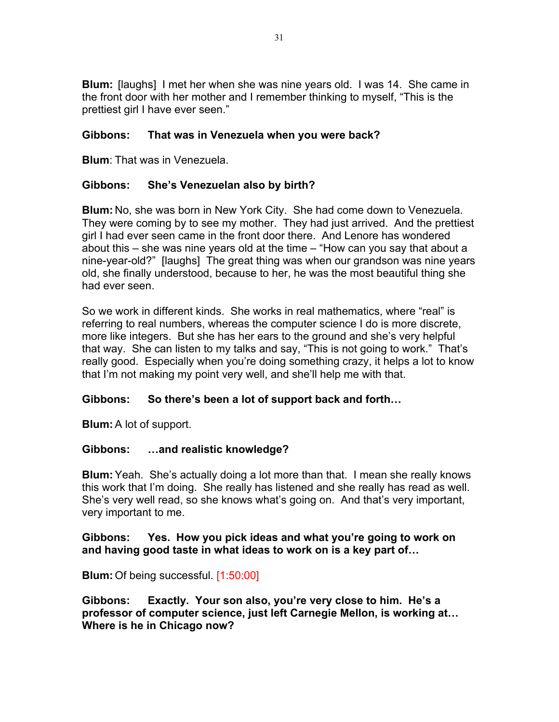**Blum:** [laughs] I met her when she was nine years old. I was 14. She came in the front door with her mother and I remember thinking to myself, "This is the prettiest girl I have ever seen."

# **Gibbons: That was in Venezuela when you were back?**

**Blum**: That was in Venezuela.

# **Gibbons: She's Venezuelan also by birth?**

**Blum:** No, she was born in New York City. She had come down to Venezuela. They were coming by to see my mother. They had just arrived. And the prettiest girl I had ever seen came in the front door there. And Lenore has wondered about this – she was nine years old at the time – "How can you say that about a nine-year-old?" [laughs] The great thing was when our grandson was nine years old, she finally understood, because to her, he was the most beautiful thing she had ever seen.

So we work in different kinds. She works in real mathematics, where "real" is referring to real numbers, whereas the computer science I do is more discrete, more like integers. But she has her ears to the ground and she's very helpful that way. She can listen to my talks and say, "This is not going to work." That's really good. Especially when you're doing something crazy, it helps a lot to know that I'm not making my point very well, and she'll help me with that.

# **Gibbons: So there's been a lot of support back and forth…**

**Blum:** A lot of support.

# **Gibbons: …and realistic knowledge?**

**Blum:**Yeah. She's actually doing a lot more than that. I mean she really knows this work that I'm doing. She really has listened and she really has read as well. She's very well read, so she knows what's going on. And that's very important, very important to me.

#### **Gibbons: Yes. How you pick ideas and what you're going to work on and having good taste in what ideas to work on is a key part of…**

**Blum:** Of being successful. [1:50:00]

**Gibbons: Exactly. Your son also, you're very close to him. He's a professor of computer science, just left Carnegie Mellon, is working at… Where is he in Chicago now?**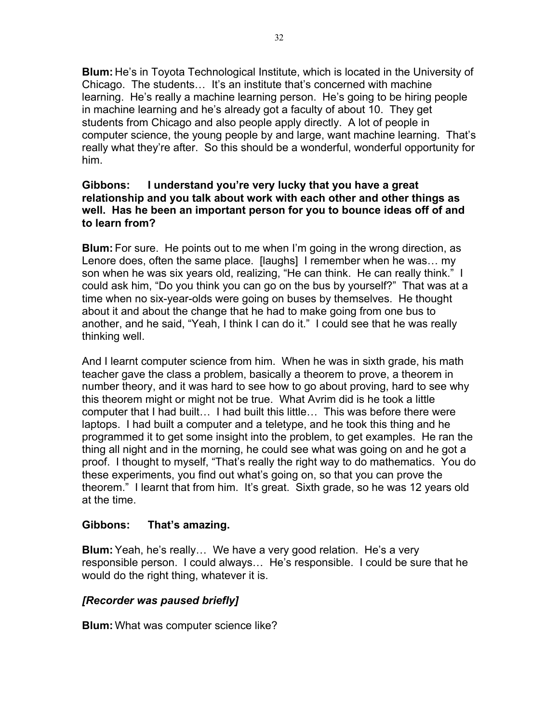**Blum:** He's in Toyota Technological Institute, which is located in the University of Chicago. The students… It's an institute that's concerned with machine learning. He's really a machine learning person. He's going to be hiring people in machine learning and he's already got a faculty of about 10. They get students from Chicago and also people apply directly. A lot of people in computer science, the young people by and large, want machine learning. That's really what they're after. So this should be a wonderful, wonderful opportunity for him.

# **Gibbons: I understand you're very lucky that you have a great relationship and you talk about work with each other and other things as well. Has he been an important person for you to bounce ideas off of and to learn from?**

**Blum:** For sure. He points out to me when I'm going in the wrong direction, as Lenore does, often the same place. [laughs] I remember when he was... my son when he was six years old, realizing, "He can think. He can really think." I could ask him, "Do you think you can go on the bus by yourself?" That was at a time when no six-year-olds were going on buses by themselves. He thought about it and about the change that he had to make going from one bus to another, and he said, "Yeah, I think I can do it." I could see that he was really thinking well.

And I learnt computer science from him. When he was in sixth grade, his math teacher gave the class a problem, basically a theorem to prove, a theorem in number theory, and it was hard to see how to go about proving, hard to see why this theorem might or might not be true. What Avrim did is he took a little computer that I had built… I had built this little… This was before there were laptops. I had built a computer and a teletype, and he took this thing and he programmed it to get some insight into the problem, to get examples. He ran the thing all night and in the morning, he could see what was going on and he got a proof. I thought to myself, "That's really the right way to do mathematics. You do these experiments, you find out what's going on, so that you can prove the theorem." I learnt that from him. It's great. Sixth grade, so he was 12 years old at the time.

# **Gibbons: That's amazing.**

**Blum:**Yeah, he's really… We have a very good relation. He's a very responsible person. I could always… He's responsible. I could be sure that he would do the right thing, whatever it is.

# *[Recorder was paused briefly]*

**Blum:** What was computer science like?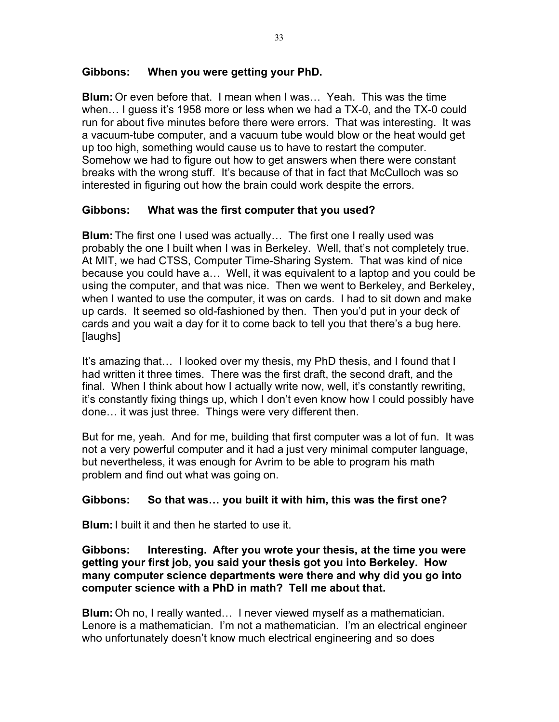# **Gibbons: When you were getting your PhD.**

**Blum:** Or even before that. I mean when I was… Yeah. This was the time when… I guess it's 1958 more or less when we had a TX-0, and the TX-0 could run for about five minutes before there were errors. That was interesting. It was a vacuum-tube computer, and a vacuum tube would blow or the heat would get up too high, something would cause us to have to restart the computer. Somehow we had to figure out how to get answers when there were constant breaks with the wrong stuff. It's because of that in fact that McCulloch was so interested in figuring out how the brain could work despite the errors.

# **Gibbons: What was the first computer that you used?**

**Blum:** The first one I used was actually… The first one I really used was probably the one I built when I was in Berkeley. Well, that's not completely true. At MIT, we had CTSS, Computer Time-Sharing System. That was kind of nice because you could have a… Well, it was equivalent to a laptop and you could be using the computer, and that was nice. Then we went to Berkeley, and Berkeley, when I wanted to use the computer, it was on cards. I had to sit down and make up cards. It seemed so old-fashioned by then. Then you'd put in your deck of cards and you wait a day for it to come back to tell you that there's a bug here. [laughs]

It's amazing that… I looked over my thesis, my PhD thesis, and I found that I had written it three times. There was the first draft, the second draft, and the final. When I think about how I actually write now, well, it's constantly rewriting, it's constantly fixing things up, which I don't even know how I could possibly have done… it was just three. Things were very different then.

But for me, yeah. And for me, building that first computer was a lot of fun. It was not a very powerful computer and it had a just very minimal computer language, but nevertheless, it was enough for Avrim to be able to program his math problem and find out what was going on.

# **Gibbons: So that was… you built it with him, this was the first one?**

**Blum:**I built it and then he started to use it.

**Gibbons: Interesting. After you wrote your thesis, at the time you were getting your first job, you said your thesis got you into Berkeley. How many computer science departments were there and why did you go into computer science with a PhD in math? Tell me about that.**

**Blum:** Oh no, I really wanted… I never viewed myself as a mathematician. Lenore is a mathematician. I'm not a mathematician. I'm an electrical engineer who unfortunately doesn't know much electrical engineering and so does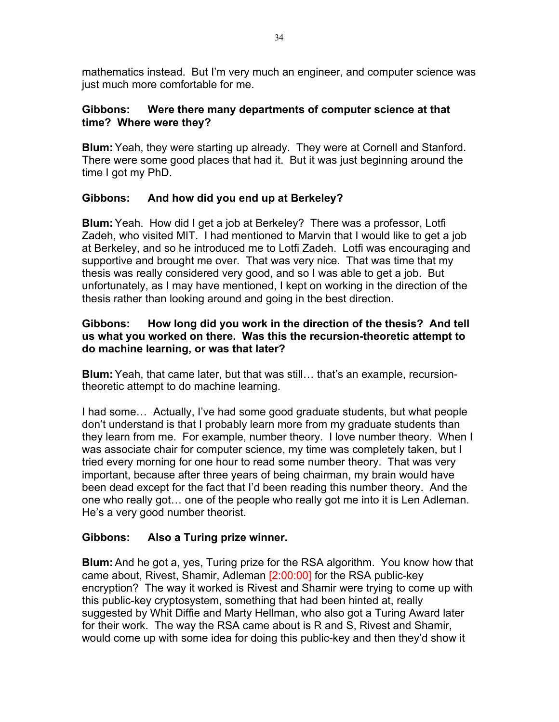mathematics instead. But I'm very much an engineer, and computer science was just much more comfortable for me.

# **Gibbons: Were there many departments of computer science at that time? Where were they?**

**Blum:** Yeah, they were starting up already. They were at Cornell and Stanford. There were some good places that had it. But it was just beginning around the time I got my PhD.

# **Gibbons: And how did you end up at Berkeley?**

**Blum:**Yeah. How did I get a job at Berkeley? There was a professor, Lotfi Zadeh, who visited MIT. I had mentioned to Marvin that I would like to get a job at Berkeley, and so he introduced me to Lotfi Zadeh. Lotfi was encouraging and supportive and brought me over. That was very nice. That was time that my thesis was really considered very good, and so I was able to get a job. But unfortunately, as I may have mentioned, I kept on working in the direction of the thesis rather than looking around and going in the best direction.

# **Gibbons: How long did you work in the direction of the thesis? And tell us what you worked on there. Was this the recursion-theoretic attempt to do machine learning, or was that later?**

**Blum:**Yeah, that came later, but that was still… that's an example, recursiontheoretic attempt to do machine learning.

I had some… Actually, I've had some good graduate students, but what people don't understand is that I probably learn more from my graduate students than they learn from me. For example, number theory. I love number theory. When I was associate chair for computer science, my time was completely taken, but I tried every morning for one hour to read some number theory. That was very important, because after three years of being chairman, my brain would have been dead except for the fact that I'd been reading this number theory. And the one who really got… one of the people who really got me into it is Len Adleman. He's a very good number theorist.

# **Gibbons: Also a Turing prize winner.**

**Blum:**And he got a, yes, Turing prize for the RSA algorithm. You know how that came about, Rivest, Shamir, Adleman [2:00:00] for the RSA public-key encryption? The way it worked is Rivest and Shamir were trying to come up with this public-key cryptosystem, something that had been hinted at, really suggested by Whit Diffie and Marty Hellman, who also got a Turing Award later for their work. The way the RSA came about is R and S, Rivest and Shamir, would come up with some idea for doing this public-key and then they'd show it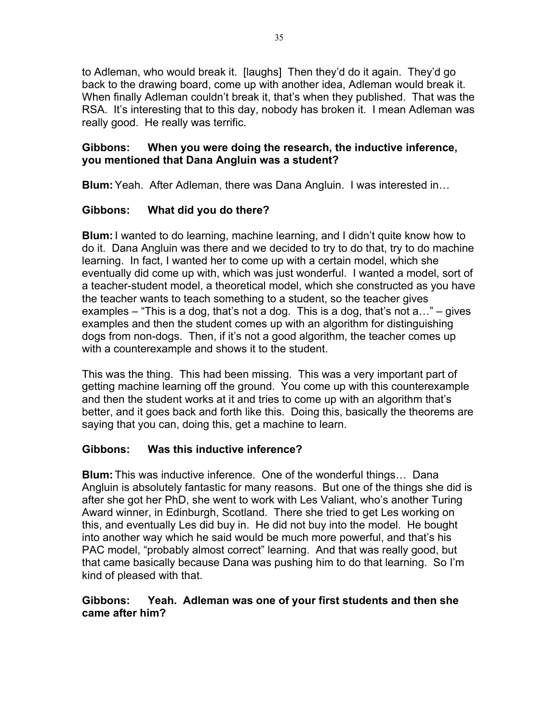to Adleman, who would break it. [laughs] Then they'd do it again. They'd go back to the drawing board, come up with another idea, Adleman would break it. When finally Adleman couldn't break it, that's when they published. That was the RSA. It's interesting that to this day, nobody has broken it. I mean Adleman was really good. He really was terrific.

# **Gibbons: When you were doing the research, the inductive inference, you mentioned that Dana Angluin was a student?**

**Blum:**Yeah. After Adleman, there was Dana Angluin. I was interested in…

# **Gibbons: What did you do there?**

**Blum:**I wanted to do learning, machine learning, and I didn't quite know how to do it. Dana Angluin was there and we decided to try to do that, try to do machine learning. In fact, I wanted her to come up with a certain model, which she eventually did come up with, which was just wonderful. I wanted a model, sort of a teacher-student model, a theoretical model, which she constructed as you have the teacher wants to teach something to a student, so the teacher gives examples – "This is a dog, that's not a dog. This is a dog, that's not  $a...$ " – gives examples and then the student comes up with an algorithm for distinguishing dogs from non-dogs. Then, if it's not a good algorithm, the teacher comes up with a counterexample and shows it to the student.

This was the thing. This had been missing. This was a very important part of getting machine learning off the ground. You come up with this counterexample and then the student works at it and tries to come up with an algorithm that's better, and it goes back and forth like this. Doing this, basically the theorems are saying that you can, doing this, get a machine to learn.

# **Gibbons: Was this inductive inference?**

**Blum:** This was inductive inference. One of the wonderful things… Dana Angluin is absolutely fantastic for many reasons. But one of the things she did is after she got her PhD, she went to work with Les Valiant, who's another Turing Award winner, in Edinburgh, Scotland. There she tried to get Les working on this, and eventually Les did buy in. He did not buy into the model. He bought into another way which he said would be much more powerful, and that's his PAC model, "probably almost correct" learning. And that was really good, but that came basically because Dana was pushing him to do that learning. So I'm kind of pleased with that.

# **Gibbons: Yeah. Adleman was one of your first students and then she came after him?**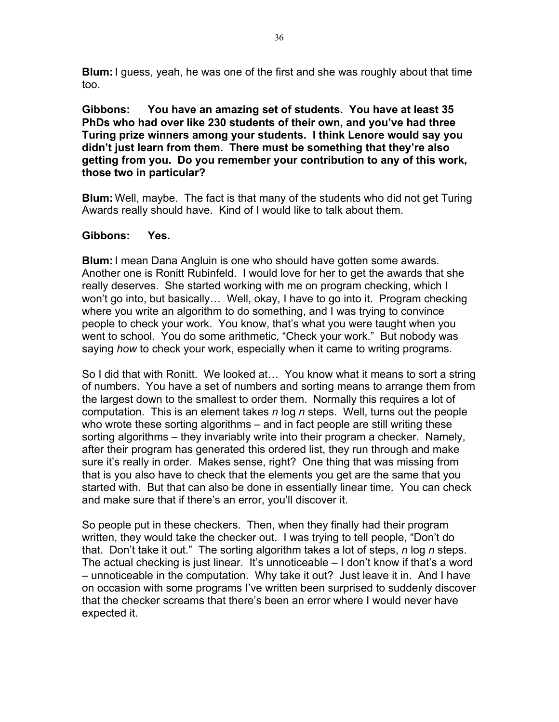**Blum:**I guess, yeah, he was one of the first and she was roughly about that time too.

**Gibbons: You have an amazing set of students. You have at least 35 PhDs who had over like 230 students of their own, and you've had three Turing prize winners among your students. I think Lenore would say you didn't just learn from them. There must be something that they're also getting from you. Do you remember your contribution to any of this work, those two in particular?**

**Blum:** Well, maybe. The fact is that many of the students who did not get Turing Awards really should have. Kind of I would like to talk about them.

#### **Gibbons: Yes.**

**Blum:**I mean Dana Angluin is one who should have gotten some awards. Another one is Ronitt Rubinfeld. I would love for her to get the awards that she really deserves. She started working with me on program checking, which I won't go into, but basically… Well, okay, I have to go into it. Program checking where you write an algorithm to do something, and I was trying to convince people to check your work. You know, that's what you were taught when you went to school. You do some arithmetic, "Check your work." But nobody was saying *how* to check your work, especially when it came to writing programs.

So I did that with Ronitt. We looked at… You know what it means to sort a string of numbers. You have a set of numbers and sorting means to arrange them from the largest down to the smallest to order them. Normally this requires a lot of computation. This is an element takes *n* log *n* steps. Well, turns out the people who wrote these sorting algorithms – and in fact people are still writing these sorting algorithms – they invariably write into their program a checker. Namely, after their program has generated this ordered list, they run through and make sure it's really in order. Makes sense, right? One thing that was missing from that is you also have to check that the elements you get are the same that you started with. But that can also be done in essentially linear time. You can check and make sure that if there's an error, you'll discover it.

So people put in these checkers. Then, when they finally had their program written, they would take the checker out. I was trying to tell people, "Don't do that. Don't take it out." The sorting algorithm takes a lot of steps, *n* log *n* steps. The actual checking is just linear. It's unnoticeable – I don't know if that's a word – unnoticeable in the computation. Why take it out? Just leave it in. And I have on occasion with some programs I've written been surprised to suddenly discover that the checker screams that there's been an error where I would never have expected it.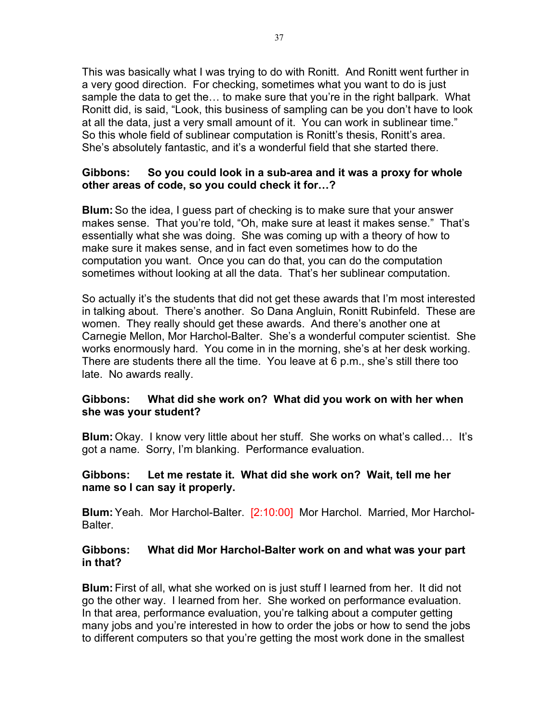This was basically what I was trying to do with Ronitt. And Ronitt went further in a very good direction. For checking, sometimes what you want to do is just sample the data to get the… to make sure that you're in the right ballpark. What Ronitt did, is said, "Look, this business of sampling can be you don't have to look at all the data, just a very small amount of it. You can work in sublinear time." So this whole field of sublinear computation is Ronitt's thesis, Ronitt's area. She's absolutely fantastic, and it's a wonderful field that she started there.

#### **Gibbons: So you could look in a sub-area and it was a proxy for whole other areas of code, so you could check it for…?**

**Blum:**So the idea, I guess part of checking is to make sure that your answer makes sense. That you're told, "Oh, make sure at least it makes sense." That's essentially what she was doing. She was coming up with a theory of how to make sure it makes sense, and in fact even sometimes how to do the computation you want. Once you can do that, you can do the computation sometimes without looking at all the data. That's her sublinear computation.

So actually it's the students that did not get these awards that I'm most interested in talking about. There's another. So Dana Angluin, Ronitt Rubinfeld. These are women. They really should get these awards. And there's another one at Carnegie Mellon, Mor Harchol-Balter. She's a wonderful computer scientist. She works enormously hard. You come in in the morning, she's at her desk working. There are students there all the time. You leave at 6 p.m., she's still there too late. No awards really.

# **Gibbons: What did she work on? What did you work on with her when she was your student?**

**Blum:** Okay. I know very little about her stuff. She works on what's called… It's got a name. Sorry, I'm blanking. Performance evaluation.

# **Gibbons: Let me restate it. What did she work on? Wait, tell me her name so I can say it properly.**

**Blum:**Yeah. Mor Harchol-Balter. [2:10:00] Mor Harchol. Married, Mor Harchol-Balter.

#### **Gibbons: What did Mor Harchol-Balter work on and what was your part in that?**

**Blum:** First of all, what she worked on is just stuff I learned from her. It did not go the other way. I learned from her. She worked on performance evaluation. In that area, performance evaluation, you're talking about a computer getting many jobs and you're interested in how to order the jobs or how to send the jobs to different computers so that you're getting the most work done in the smallest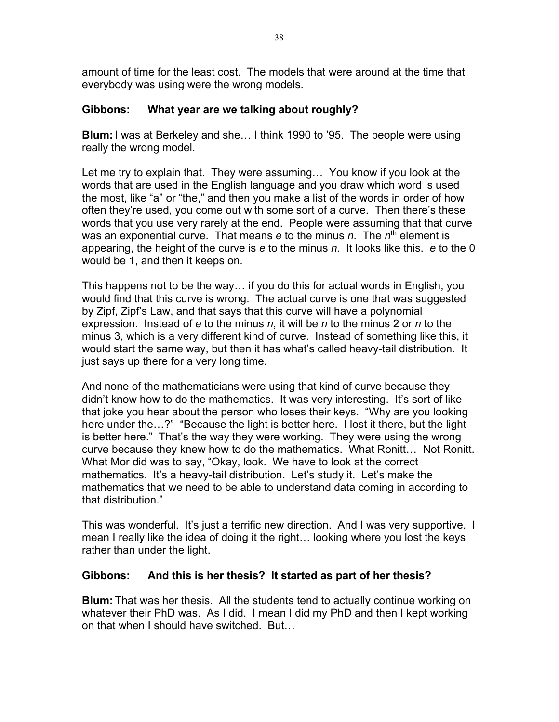amount of time for the least cost. The models that were around at the time that everybody was using were the wrong models.

# **Gibbons: What year are we talking about roughly?**

**Blum:**I was at Berkeley and she… I think 1990 to '95. The people were using really the wrong model.

Let me try to explain that. They were assuming… You know if you look at the words that are used in the English language and you draw which word is used the most, like "a" or "the," and then you make a list of the words in order of how often they're used, you come out with some sort of a curve. Then there's these words that you use very rarely at the end. People were assuming that that curve was an exponential curve. That means *e* to the minus *n*. The *n*th element is appearing, the height of the curve is *e* to the minus *n*. It looks like this. *e* to the 0 would be 1, and then it keeps on.

This happens not to be the way… if you do this for actual words in English, you would find that this curve is wrong. The actual curve is one that was suggested by Zipf, Zipf's Law, and that says that this curve will have a polynomial expression. Instead of *e* to the minus *n*, it will be *n* to the minus 2 or *n* to the minus 3, which is a very different kind of curve. Instead of something like this, it would start the same way, but then it has what's called heavy-tail distribution. It just says up there for a very long time.

And none of the mathematicians were using that kind of curve because they didn't know how to do the mathematics. It was very interesting. It's sort of like that joke you hear about the person who loses their keys. "Why are you looking here under the…?" "Because the light is better here. I lost it there, but the light is better here." That's the way they were working. They were using the wrong curve because they knew how to do the mathematics. What Ronitt… Not Ronitt. What Mor did was to say, "Okay, look. We have to look at the correct mathematics. It's a heavy-tail distribution. Let's study it. Let's make the mathematics that we need to be able to understand data coming in according to that distribution."

This was wonderful. It's just a terrific new direction. And I was very supportive. I mean I really like the idea of doing it the right… looking where you lost the keys rather than under the light.

# **Gibbons: And this is her thesis? It started as part of her thesis?**

**Blum:** That was her thesis. All the students tend to actually continue working on whatever their PhD was. As I did. I mean I did my PhD and then I kept working on that when I should have switched. But…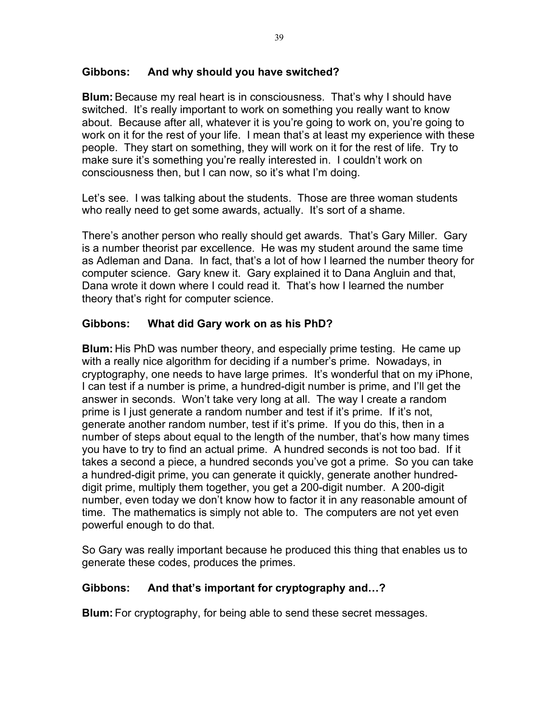# **Gibbons: And why should you have switched?**

**Blum:**Because my real heart is in consciousness. That's why I should have switched. It's really important to work on something you really want to know about. Because after all, whatever it is you're going to work on, you're going to work on it for the rest of your life. I mean that's at least my experience with these people. They start on something, they will work on it for the rest of life. Try to make sure it's something you're really interested in. I couldn't work on consciousness then, but I can now, so it's what I'm doing.

Let's see. I was talking about the students. Those are three woman students who really need to get some awards, actually. It's sort of a shame.

There's another person who really should get awards. That's Gary Miller. Gary is a number theorist par excellence. He was my student around the same time as Adleman and Dana. In fact, that's a lot of how I learned the number theory for computer science. Gary knew it. Gary explained it to Dana Angluin and that, Dana wrote it down where I could read it. That's how I learned the number theory that's right for computer science.

# **Gibbons: What did Gary work on as his PhD?**

**Blum:** His PhD was number theory, and especially prime testing. He came up with a really nice algorithm for deciding if a number's prime. Nowadays, in cryptography, one needs to have large primes. It's wonderful that on my iPhone, I can test if a number is prime, a hundred-digit number is prime, and I'll get the answer in seconds. Won't take very long at all. The way I create a random prime is I just generate a random number and test if it's prime. If it's not, generate another random number, test if it's prime. If you do this, then in a number of steps about equal to the length of the number, that's how many times you have to try to find an actual prime. A hundred seconds is not too bad. If it takes a second a piece, a hundred seconds you've got a prime. So you can take a hundred-digit prime, you can generate it quickly, generate another hundreddigit prime, multiply them together, you get a 200-digit number. A 200-digit number, even today we don't know how to factor it in any reasonable amount of time. The mathematics is simply not able to. The computers are not yet even powerful enough to do that.

So Gary was really important because he produced this thing that enables us to generate these codes, produces the primes.

# **Gibbons: And that's important for cryptography and…?**

**Blum:** For cryptography, for being able to send these secret messages.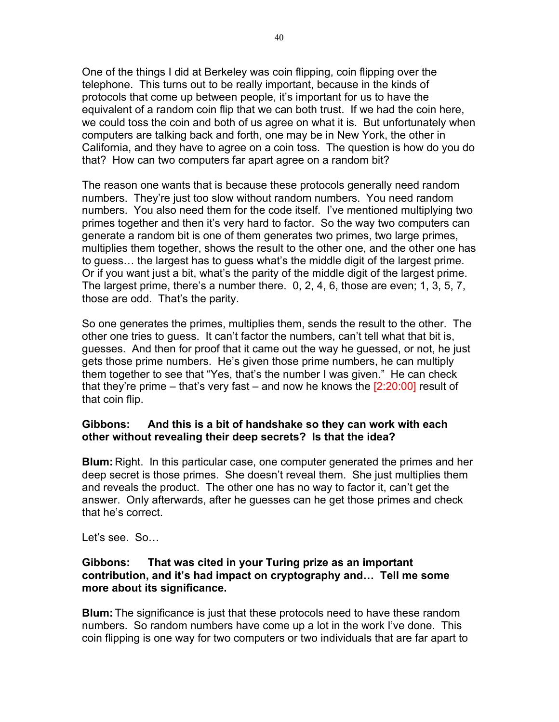One of the things I did at Berkeley was coin flipping, coin flipping over the telephone. This turns out to be really important, because in the kinds of protocols that come up between people, it's important for us to have the equivalent of a random coin flip that we can both trust. If we had the coin here, we could toss the coin and both of us agree on what it is. But unfortunately when computers are talking back and forth, one may be in New York, the other in California, and they have to agree on a coin toss. The question is how do you do that? How can two computers far apart agree on a random bit?

The reason one wants that is because these protocols generally need random numbers. They're just too slow without random numbers. You need random numbers. You also need them for the code itself. I've mentioned multiplying two primes together and then it's very hard to factor. So the way two computers can generate a random bit is one of them generates two primes, two large primes, multiplies them together, shows the result to the other one, and the other one has to guess… the largest has to guess what's the middle digit of the largest prime. Or if you want just a bit, what's the parity of the middle digit of the largest prime. The largest prime, there's a number there. 0, 2, 4, 6, those are even; 1, 3, 5, 7, those are odd. That's the parity.

So one generates the primes, multiplies them, sends the result to the other. The other one tries to guess. It can't factor the numbers, can't tell what that bit is, guesses. And then for proof that it came out the way he guessed, or not, he just gets those prime numbers. He's given those prime numbers, he can multiply them together to see that "Yes, that's the number I was given." He can check that they're prime – that's very fast – and now he knows the  $[2:20:00]$  result of that coin flip.

# **Gibbons: And this is a bit of handshake so they can work with each other without revealing their deep secrets? Is that the idea?**

**Blum:** Right. In this particular case, one computer generated the primes and her deep secret is those primes. She doesn't reveal them. She just multiplies them and reveals the product. The other one has no way to factor it, can't get the answer. Only afterwards, after he guesses can he get those primes and check that he's correct.

Let's see. So…

# **Gibbons: That was cited in your Turing prize as an important contribution, and it's had impact on cryptography and… Tell me some more about its significance.**

**Blum:** The significance is just that these protocols need to have these random numbers. So random numbers have come up a lot in the work I've done. This coin flipping is one way for two computers or two individuals that are far apart to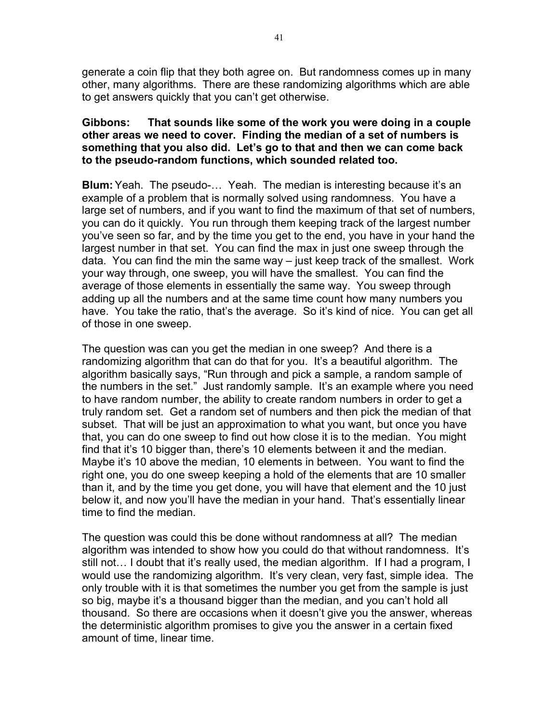generate a coin flip that they both agree on. But randomness comes up in many other, many algorithms. There are these randomizing algorithms which are able to get answers quickly that you can't get otherwise.

### **Gibbons: That sounds like some of the work you were doing in a couple other areas we need to cover. Finding the median of a set of numbers is something that you also did. Let's go to that and then we can come back to the pseudo-random functions, which sounded related too.**

**Blum:** Yeah. The pseudo-... Yeah. The median is interesting because it's an example of a problem that is normally solved using randomness. You have a large set of numbers, and if you want to find the maximum of that set of numbers, you can do it quickly. You run through them keeping track of the largest number you've seen so far, and by the time you get to the end, you have in your hand the largest number in that set. You can find the max in just one sweep through the data. You can find the min the same way – just keep track of the smallest. Work your way through, one sweep, you will have the smallest. You can find the average of those elements in essentially the same way. You sweep through adding up all the numbers and at the same time count how many numbers you have. You take the ratio, that's the average. So it's kind of nice. You can get all of those in one sweep.

The question was can you get the median in one sweep? And there is a randomizing algorithm that can do that for you. It's a beautiful algorithm. The algorithm basically says, "Run through and pick a sample, a random sample of the numbers in the set." Just randomly sample. It's an example where you need to have random number, the ability to create random numbers in order to get a truly random set. Get a random set of numbers and then pick the median of that subset. That will be just an approximation to what you want, but once you have that, you can do one sweep to find out how close it is to the median. You might find that it's 10 bigger than, there's 10 elements between it and the median. Maybe it's 10 above the median, 10 elements in between. You want to find the right one, you do one sweep keeping a hold of the elements that are 10 smaller than it, and by the time you get done, you will have that element and the 10 just below it, and now you'll have the median in your hand. That's essentially linear time to find the median.

The question was could this be done without randomness at all? The median algorithm was intended to show how you could do that without randomness. It's still not… I doubt that it's really used, the median algorithm. If I had a program, I would use the randomizing algorithm. It's very clean, very fast, simple idea. The only trouble with it is that sometimes the number you get from the sample is just so big, maybe it's a thousand bigger than the median, and you can't hold all thousand. So there are occasions when it doesn't give you the answer, whereas the deterministic algorithm promises to give you the answer in a certain fixed amount of time, linear time.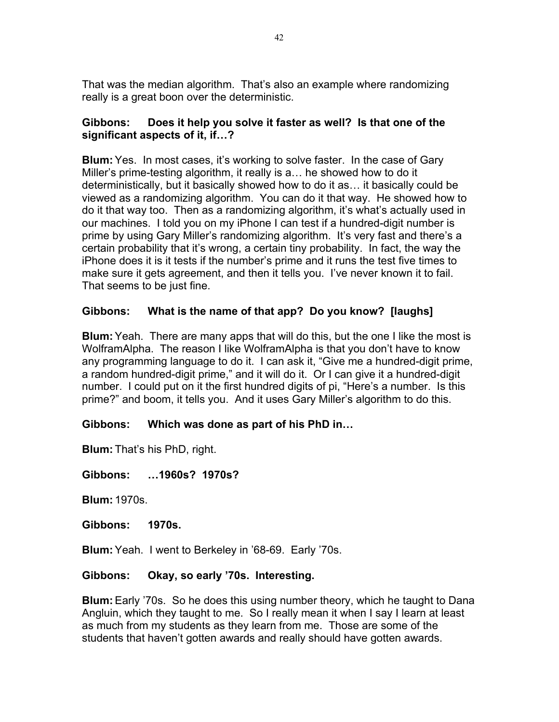That was the median algorithm. That's also an example where randomizing really is a great boon over the deterministic.

# **Gibbons: Does it help you solve it faster as well? Is that one of the significant aspects of it, if…?**

**Blum:**Yes. In most cases, it's working to solve faster. In the case of Gary Miller's prime-testing algorithm, it really is a… he showed how to do it deterministically, but it basically showed how to do it as… it basically could be viewed as a randomizing algorithm. You can do it that way. He showed how to do it that way too. Then as a randomizing algorithm, it's what's actually used in our machines. I told you on my iPhone I can test if a hundred-digit number is prime by using Gary Miller's randomizing algorithm. It's very fast and there's a certain probability that it's wrong, a certain tiny probability. In fact, the way the iPhone does it is it tests if the number's prime and it runs the test five times to make sure it gets agreement, and then it tells you. I've never known it to fail. That seems to be just fine.

# **Gibbons: What is the name of that app? Do you know? [laughs]**

**Blum:**Yeah. There are many apps that will do this, but the one I like the most is WolframAlpha. The reason I like WolframAlpha is that you don't have to know any programming language to do it. I can ask it, "Give me a hundred-digit prime, a random hundred-digit prime," and it will do it. Or I can give it a hundred-digit number. I could put on it the first hundred digits of pi, "Here's a number. Is this prime?" and boom, it tells you. And it uses Gary Miller's algorithm to do this.

# **Gibbons: Which was done as part of his PhD in…**

**Blum:** That's his PhD, right.

**Gibbons: …1960s? 1970s?**

**Blum:** 1970s.

**Gibbons: 1970s.**

**Blum:**Yeah. I went to Berkeley in '68-69. Early '70s.

#### **Gibbons: Okay, so early '70s. Interesting.**

**Blum:**Early '70s. So he does this using number theory, which he taught to Dana Angluin, which they taught to me. So I really mean it when I say I learn at least as much from my students as they learn from me. Those are some of the students that haven't gotten awards and really should have gotten awards.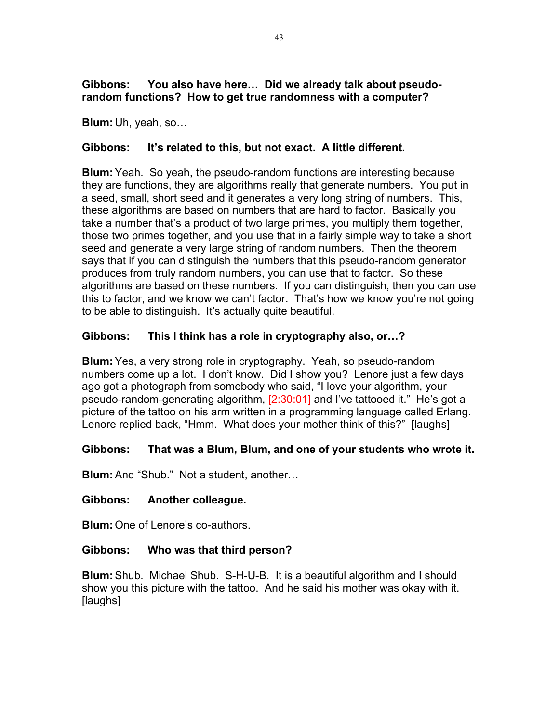# **Gibbons: You also have here… Did we already talk about pseudorandom functions? How to get true randomness with a computer?**

**Blum:** Uh, yeah, so…

# **Gibbons: It's related to this, but not exact. A little different.**

**Blum:**Yeah. So yeah, the pseudo-random functions are interesting because they are functions, they are algorithms really that generate numbers. You put in a seed, small, short seed and it generates a very long string of numbers. This, these algorithms are based on numbers that are hard to factor. Basically you take a number that's a product of two large primes, you multiply them together, those two primes together, and you use that in a fairly simple way to take a short seed and generate a very large string of random numbers. Then the theorem says that if you can distinguish the numbers that this pseudo-random generator produces from truly random numbers, you can use that to factor. So these algorithms are based on these numbers. If you can distinguish, then you can use this to factor, and we know we can't factor. That's how we know you're not going to be able to distinguish. It's actually quite beautiful.

# **Gibbons: This I think has a role in cryptography also, or…?**

**Blum:**Yes, a very strong role in cryptography. Yeah, so pseudo-random numbers come up a lot. I don't know. Did I show you? Lenore just a few days ago got a photograph from somebody who said, "I love your algorithm, your pseudo-random-generating algorithm, [2:30:01] and I've tattooed it." He's got a picture of the tattoo on his arm written in a programming language called Erlang. Lenore replied back, "Hmm. What does your mother think of this?" [laughs]

# **Gibbons: That was a Blum, Blum, and one of your students who wrote it.**

**Blum:**And "Shub." Not a student, another…

# **Gibbons: Another colleague.**

**Blum:** One of Lenore's co-authors.

# **Gibbons: Who was that third person?**

**Blum:**Shub. Michael Shub. S-H-U-B. It is a beautiful algorithm and I should show you this picture with the tattoo. And he said his mother was okay with it. [laughs]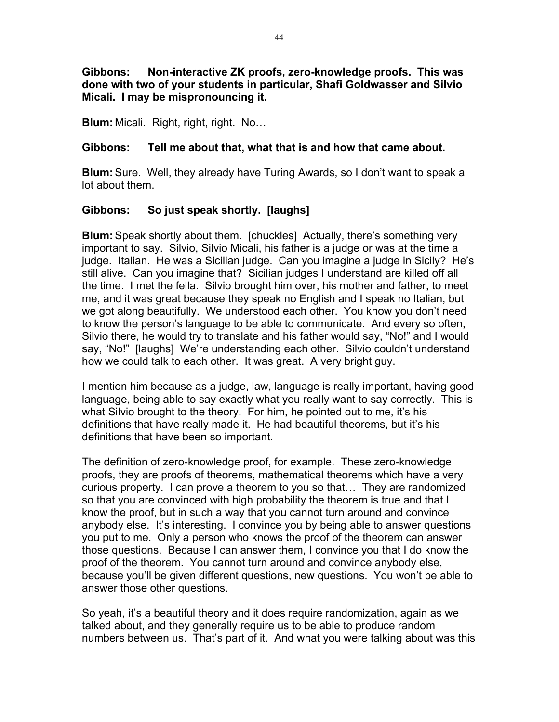**Gibbons: Non-interactive ZK proofs, zero-knowledge proofs. This was done with two of your students in particular, Shafi Goldwasser and Silvio Micali. I may be mispronouncing it.**

**Blum:** Micali. Right, right, right. No…

# **Gibbons: Tell me about that, what that is and how that came about.**

**Blum:**Sure. Well, they already have Turing Awards, so I don't want to speak a lot about them.

# **Gibbons: So just speak shortly. [laughs]**

**Blum:**Speak shortly about them. [chuckles] Actually, there's something very important to say. Silvio, Silvio Micali, his father is a judge or was at the time a judge. Italian. He was a Sicilian judge. Can you imagine a judge in Sicily? He's still alive. Can you imagine that? Sicilian judges I understand are killed off all the time. I met the fella. Silvio brought him over, his mother and father, to meet me, and it was great because they speak no English and I speak no Italian, but we got along beautifully. We understood each other. You know you don't need to know the person's language to be able to communicate. And every so often, Silvio there, he would try to translate and his father would say, "No!" and I would say, "No!" [laughs] We're understanding each other. Silvio couldn't understand how we could talk to each other. It was great. A very bright guy.

I mention him because as a judge, law, language is really important, having good language, being able to say exactly what you really want to say correctly. This is what Silvio brought to the theory. For him, he pointed out to me, it's his definitions that have really made it. He had beautiful theorems, but it's his definitions that have been so important.

The definition of zero-knowledge proof, for example. These zero-knowledge proofs, they are proofs of theorems, mathematical theorems which have a very curious property. I can prove a theorem to you so that… They are randomized so that you are convinced with high probability the theorem is true and that I know the proof, but in such a way that you cannot turn around and convince anybody else. It's interesting. I convince you by being able to answer questions you put to me. Only a person who knows the proof of the theorem can answer those questions. Because I can answer them, I convince you that I do know the proof of the theorem. You cannot turn around and convince anybody else, because you'll be given different questions, new questions. You won't be able to answer those other questions.

So yeah, it's a beautiful theory and it does require randomization, again as we talked about, and they generally require us to be able to produce random numbers between us. That's part of it. And what you were talking about was this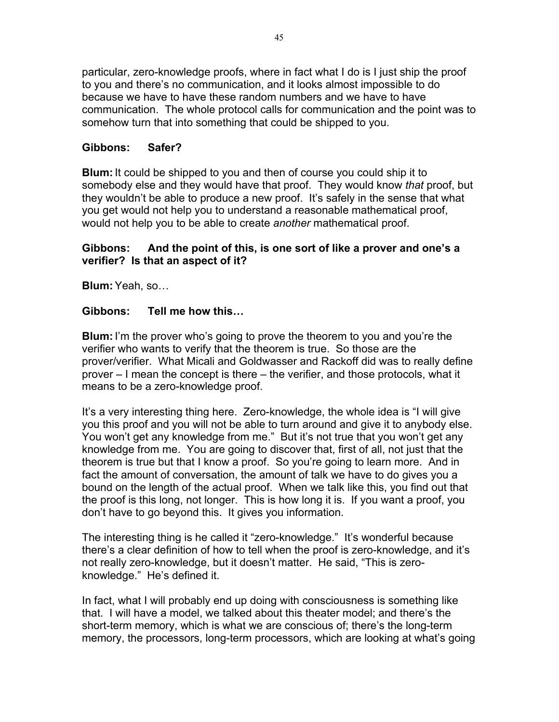particular, zero-knowledge proofs, where in fact what I do is I just ship the proof to you and there's no communication, and it looks almost impossible to do because we have to have these random numbers and we have to have communication. The whole protocol calls for communication and the point was to somehow turn that into something that could be shipped to you.

# **Gibbons: Safer?**

**Blum:**It could be shipped to you and then of course you could ship it to somebody else and they would have that proof. They would know *that* proof, but they wouldn't be able to produce a new proof. It's safely in the sense that what you get would not help you to understand a reasonable mathematical proof, would not help you to be able to create *another* mathematical proof.

# **Gibbons: And the point of this, is one sort of like a prover and one's a verifier? Is that an aspect of it?**

**Blum:**Yeah, so…

# **Gibbons: Tell me how this…**

**Blum:**I'm the prover who's going to prove the theorem to you and you're the verifier who wants to verify that the theorem is true. So those are the prover/verifier. What Micali and Goldwasser and Rackoff did was to really define prover – I mean the concept is there – the verifier, and those protocols, what it means to be a zero-knowledge proof.

It's a very interesting thing here. Zero-knowledge, the whole idea is "I will give you this proof and you will not be able to turn around and give it to anybody else. You won't get any knowledge from me." But it's not true that you won't get any knowledge from me. You are going to discover that, first of all, not just that the theorem is true but that I know a proof. So you're going to learn more. And in fact the amount of conversation, the amount of talk we have to do gives you a bound on the length of the actual proof. When we talk like this, you find out that the proof is this long, not longer. This is how long it is. If you want a proof, you don't have to go beyond this. It gives you information.

The interesting thing is he called it "zero-knowledge." It's wonderful because there's a clear definition of how to tell when the proof is zero-knowledge, and it's not really zero-knowledge, but it doesn't matter. He said, "This is zeroknowledge." He's defined it.

In fact, what I will probably end up doing with consciousness is something like that. I will have a model, we talked about this theater model; and there's the short-term memory, which is what we are conscious of; there's the long-term memory, the processors, long-term processors, which are looking at what's going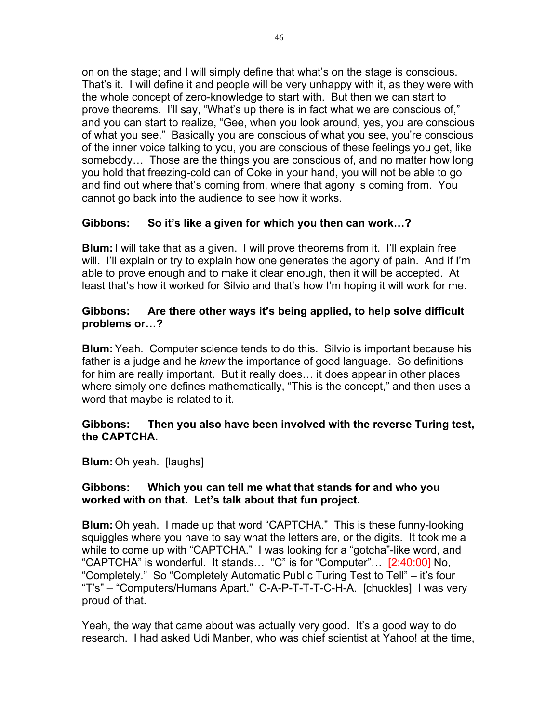on on the stage; and I will simply define that what's on the stage is conscious. That's it. I will define it and people will be very unhappy with it, as they were with the whole concept of zero-knowledge to start with. But then we can start to prove theorems. I'll say, "What's up there is in fact what we are conscious of," and you can start to realize, "Gee, when you look around, yes, you are conscious of what you see." Basically you are conscious of what you see, you're conscious of the inner voice talking to you, you are conscious of these feelings you get, like somebody… Those are the things you are conscious of, and no matter how long you hold that freezing-cold can of Coke in your hand, you will not be able to go and find out where that's coming from, where that agony is coming from. You cannot go back into the audience to see how it works.

# **Gibbons: So it's like a given for which you then can work…?**

**Blum:**I will take that as a given. I will prove theorems from it. I'll explain free will. I'll explain or try to explain how one generates the agony of pain. And if I'm able to prove enough and to make it clear enough, then it will be accepted. At least that's how it worked for Silvio and that's how I'm hoping it will work for me.

# **Gibbons: Are there other ways it's being applied, to help solve difficult problems or…?**

**Blum:**Yeah. Computer science tends to do this. Silvio is important because his father is a judge and he *knew* the importance of good language. So definitions for him are really important. But it really does… it does appear in other places where simply one defines mathematically, "This is the concept," and then uses a word that maybe is related to it.

#### **Gibbons: Then you also have been involved with the reverse Turing test, the CAPTCHA.**

**Blum:** Oh yeah. [laughs]

# **Gibbons: Which you can tell me what that stands for and who you worked with on that. Let's talk about that fun project.**

**Blum:** Oh yeah. I made up that word "CAPTCHA." This is these funny-looking squiggles where you have to say what the letters are, or the digits. It took me a while to come up with "CAPTCHA." I was looking for a "gotcha"-like word, and "CAPTCHA" is wonderful. It stands… "C" is for "Computer"… [2:40:00] No, "Completely." So "Completely Automatic Public Turing Test to Tell" – it's four "T's" – "Computers/Humans Apart." C-A-P-T-T-T-C-H-A. [chuckles] I was very proud of that.

Yeah, the way that came about was actually very good. It's a good way to do research. I had asked Udi Manber, who was chief scientist at Yahoo! at the time,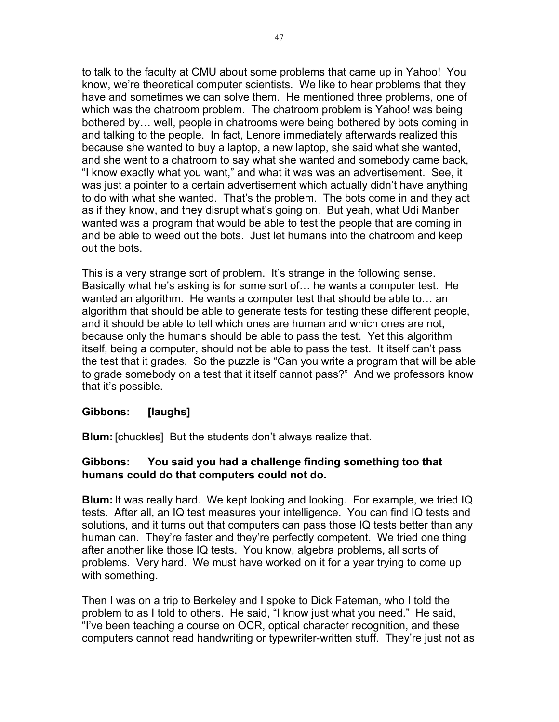to talk to the faculty at CMU about some problems that came up in Yahoo! You know, we're theoretical computer scientists. We like to hear problems that they have and sometimes we can solve them. He mentioned three problems, one of which was the chatroom problem. The chatroom problem is Yahoo! was being bothered by… well, people in chatrooms were being bothered by bots coming in and talking to the people. In fact, Lenore immediately afterwards realized this because she wanted to buy a laptop, a new laptop, she said what she wanted, and she went to a chatroom to say what she wanted and somebody came back, "I know exactly what you want," and what it was was an advertisement. See, it was just a pointer to a certain advertisement which actually didn't have anything to do with what she wanted. That's the problem. The bots come in and they act as if they know, and they disrupt what's going on. But yeah, what Udi Manber wanted was a program that would be able to test the people that are coming in and be able to weed out the bots. Just let humans into the chatroom and keep out the bots.

This is a very strange sort of problem. It's strange in the following sense. Basically what he's asking is for some sort of… he wants a computer test. He wanted an algorithm. He wants a computer test that should be able to… an algorithm that should be able to generate tests for testing these different people, and it should be able to tell which ones are human and which ones are not, because only the humans should be able to pass the test. Yet this algorithm itself, being a computer, should not be able to pass the test. It itself can't pass the test that it grades. So the puzzle is "Can you write a program that will be able to grade somebody on a test that it itself cannot pass?" And we professors know that it's possible.

# **Gibbons: [laughs]**

**Blum:** [chuckles] But the students don't always realize that.

# **Gibbons: You said you had a challenge finding something too that humans could do that computers could not do.**

**Blum:**It was really hard. We kept looking and looking. For example, we tried IQ tests. After all, an IQ test measures your intelligence. You can find IQ tests and solutions, and it turns out that computers can pass those IQ tests better than any human can. They're faster and they're perfectly competent. We tried one thing after another like those IQ tests. You know, algebra problems, all sorts of problems. Very hard. We must have worked on it for a year trying to come up with something.

Then I was on a trip to Berkeley and I spoke to Dick Fateman, who I told the problem to as I told to others. He said, "I know just what you need." He said, "I've been teaching a course on OCR, optical character recognition, and these computers cannot read handwriting or typewriter-written stuff. They're just not as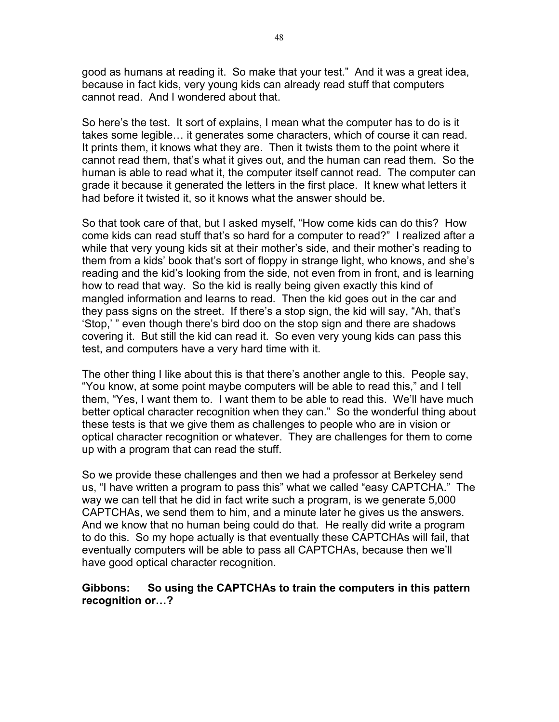good as humans at reading it. So make that your test." And it was a great idea, because in fact kids, very young kids can already read stuff that computers cannot read. And I wondered about that.

So here's the test. It sort of explains, I mean what the computer has to do is it takes some legible… it generates some characters, which of course it can read. It prints them, it knows what they are. Then it twists them to the point where it cannot read them, that's what it gives out, and the human can read them. So the human is able to read what it, the computer itself cannot read. The computer can grade it because it generated the letters in the first place. It knew what letters it had before it twisted it, so it knows what the answer should be.

So that took care of that, but I asked myself, "How come kids can do this? How come kids can read stuff that's so hard for a computer to read?" I realized after a while that very young kids sit at their mother's side, and their mother's reading to them from a kids' book that's sort of floppy in strange light, who knows, and she's reading and the kid's looking from the side, not even from in front, and is learning how to read that way. So the kid is really being given exactly this kind of mangled information and learns to read. Then the kid goes out in the car and they pass signs on the street. If there's a stop sign, the kid will say, "Ah, that's 'Stop,' " even though there's bird doo on the stop sign and there are shadows covering it. But still the kid can read it. So even very young kids can pass this test, and computers have a very hard time with it.

The other thing I like about this is that there's another angle to this. People say, "You know, at some point maybe computers will be able to read this," and I tell them, "Yes, I want them to. I want them to be able to read this. We'll have much better optical character recognition when they can." So the wonderful thing about these tests is that we give them as challenges to people who are in vision or optical character recognition or whatever. They are challenges for them to come up with a program that can read the stuff.

So we provide these challenges and then we had a professor at Berkeley send us, "I have written a program to pass this" what we called "easy CAPTCHA." The way we can tell that he did in fact write such a program, is we generate 5,000 CAPTCHAs, we send them to him, and a minute later he gives us the answers. And we know that no human being could do that. He really did write a program to do this. So my hope actually is that eventually these CAPTCHAs will fail, that eventually computers will be able to pass all CAPTCHAs, because then we'll have good optical character recognition.

# **Gibbons: So using the CAPTCHAs to train the computers in this pattern recognition or…?**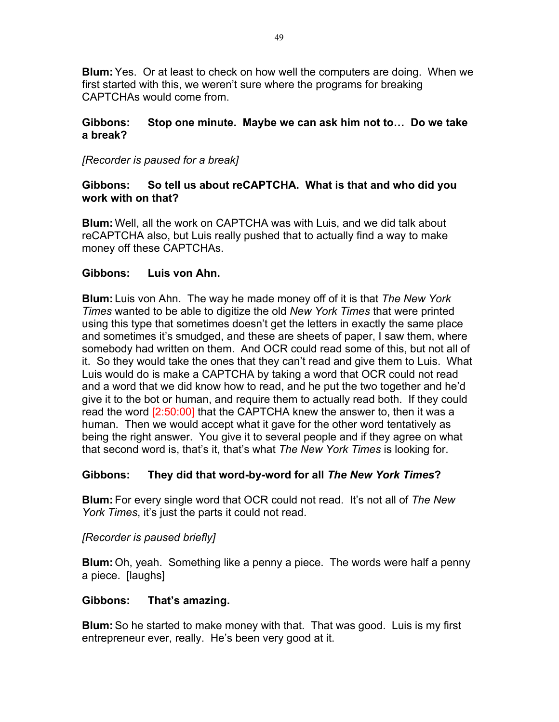**Blum:**Yes. Or at least to check on how well the computers are doing. When we first started with this, we weren't sure where the programs for breaking CAPTCHAs would come from.

# **Gibbons: Stop one minute. Maybe we can ask him not to… Do we take a break?**

# *[Recorder is paused for a break]*

# **Gibbons: So tell us about reCAPTCHA. What is that and who did you work with on that?**

**Blum:** Well, all the work on CAPTCHA was with Luis, and we did talk about reCAPTCHA also, but Luis really pushed that to actually find a way to make money off these CAPTCHAs.

# **Gibbons: Luis von Ahn.**

**Blum:** Luis von Ahn. The way he made money off of it is that *The New York Times* wanted to be able to digitize the old *New York Times* that were printed using this type that sometimes doesn't get the letters in exactly the same place and sometimes it's smudged, and these are sheets of paper, I saw them, where somebody had written on them. And OCR could read some of this, but not all of it. So they would take the ones that they can't read and give them to Luis. What Luis would do is make a CAPTCHA by taking a word that OCR could not read and a word that we did know how to read, and he put the two together and he'd give it to the bot or human, and require them to actually read both. If they could read the word [2:50:00] that the CAPTCHA knew the answer to, then it was a human. Then we would accept what it gave for the other word tentatively as being the right answer. You give it to several people and if they agree on what that second word is, that's it, that's what *The New York Times* is looking for.

# **Gibbons: They did that word-by-word for all** *The New York Times***?**

**Blum:** For every single word that OCR could not read. It's not all of *The New York Times*, it's just the parts it could not read.

# *[Recorder is paused briefly]*

**Blum:** Oh, yeah. Something like a penny a piece. The words were half a penny a piece. [laughs]

# **Gibbons: That's amazing.**

**Blum:**So he started to make money with that. That was good. Luis is my first entrepreneur ever, really. He's been very good at it.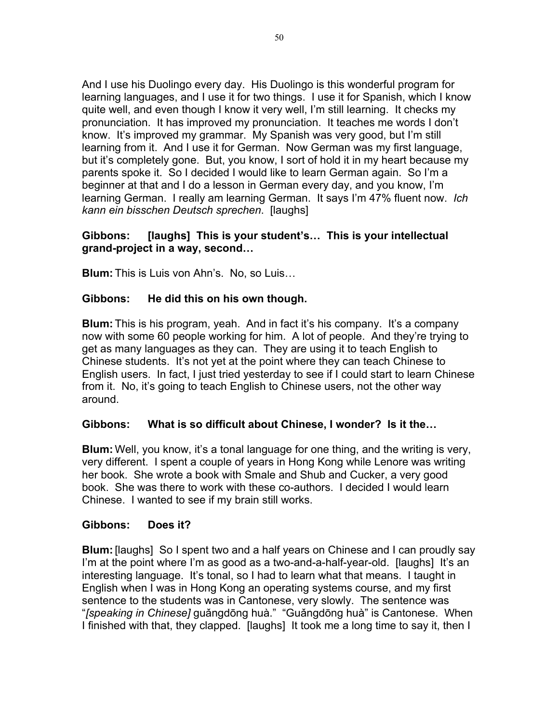And I use his Duolingo every day. His Duolingo is this wonderful program for learning languages, and I use it for two things. I use it for Spanish, which I know quite well, and even though I know it very well, I'm still learning. It checks my pronunciation. It has improved my pronunciation. It teaches me words I don't know. It's improved my grammar. My Spanish was very good, but I'm still learning from it. And I use it for German. Now German was my first language, but it's completely gone. But, you know, I sort of hold it in my heart because my parents spoke it. So I decided I would like to learn German again. So I'm a beginner at that and I do a lesson in German every day, and you know, I'm learning German. I really am learning German. It says I'm 47% fluent now. *Ich kann ein bisschen Deutsch sprechen*. [laughs]

# **Gibbons: [laughs] This is your student's… This is your intellectual grand-project in a way, second…**

**Blum:** This is Luis von Ahn's. No, so Luis…

# **Gibbons: He did this on his own though.**

**Blum:** This is his program, yeah. And in fact it's his company. It's a company now with some 60 people working for him. A lot of people. And they're trying to get as many languages as they can. They are using it to teach English to Chinese students. It's not yet at the point where they can teach Chinese to English users. In fact, I just tried yesterday to see if I could start to learn Chinese from it. No, it's going to teach English to Chinese users, not the other way around.

# **Gibbons: What is so difficult about Chinese, I wonder? Is it the…**

**Blum:** Well, you know, it's a tonal language for one thing, and the writing is very, very different. I spent a couple of years in Hong Kong while Lenore was writing her book. She wrote a book with Smale and Shub and Cucker, a very good book. She was there to work with these co-authors. I decided I would learn Chinese. I wanted to see if my brain still works.

# **Gibbons: Does it?**

**Blum:**[laughs] So I spent two and a half years on Chinese and I can proudly say I'm at the point where I'm as good as a two-and-a-half-year-old. [laughs] It's an interesting language. It's tonal, so I had to learn what that means. I taught in English when I was in Hong Kong an operating systems course, and my first sentence to the students was in Cantonese, very slowly. The sentence was "*[speaking in Chinese]* guǎngdōng huà." "Guǎngdōng huà" is Cantonese. When I finished with that, they clapped. [laughs] It took me a long time to say it, then I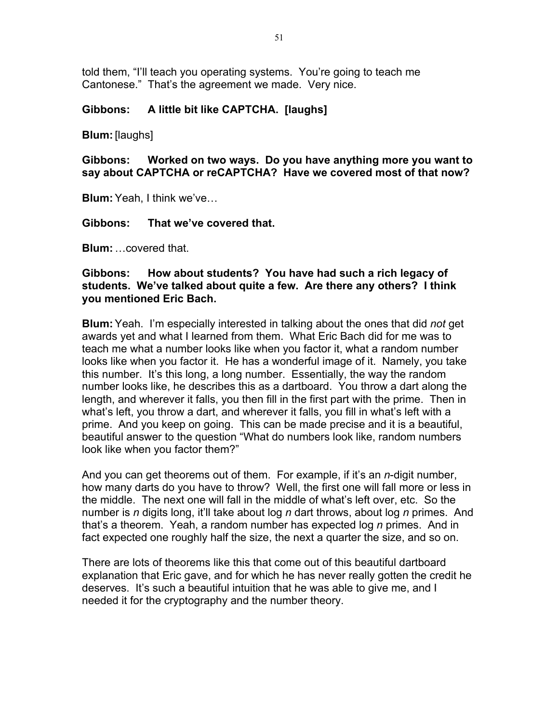told them, "I'll teach you operating systems. You're going to teach me Cantonese." That's the agreement we made. Very nice.

#### **Gibbons: A little bit like CAPTCHA. [laughs]**

#### **Blum:**[laughs]

**Gibbons: Worked on two ways. Do you have anything more you want to say about CAPTCHA or reCAPTCHA? Have we covered most of that now?**

**Blum:**Yeah, I think we've…

**Gibbons: That we've covered that.**

**Blum:**…covered that.

### **Gibbons: How about students? You have had such a rich legacy of students. We've talked about quite a few. Are there any others? I think you mentioned Eric Bach.**

**Blum:**Yeah. I'm especially interested in talking about the ones that did *not* get awards yet and what I learned from them. What Eric Bach did for me was to teach me what a number looks like when you factor it, what a random number looks like when you factor it. He has a wonderful image of it. Namely, you take this number. It's this long, a long number. Essentially, the way the random number looks like, he describes this as a dartboard. You throw a dart along the length, and wherever it falls, you then fill in the first part with the prime. Then in what's left, you throw a dart, and wherever it falls, you fill in what's left with a prime. And you keep on going. This can be made precise and it is a beautiful, beautiful answer to the question "What do numbers look like, random numbers look like when you factor them?"

And you can get theorems out of them. For example, if it's an *n*-digit number, how many darts do you have to throw? Well, the first one will fall more or less in the middle. The next one will fall in the middle of what's left over, etc. So the number is *n* digits long, it'll take about log *n* dart throws, about log *n* primes. And that's a theorem. Yeah, a random number has expected log *n* primes. And in fact expected one roughly half the size, the next a quarter the size, and so on.

There are lots of theorems like this that come out of this beautiful dartboard explanation that Eric gave, and for which he has never really gotten the credit he deserves. It's such a beautiful intuition that he was able to give me, and I needed it for the cryptography and the number theory.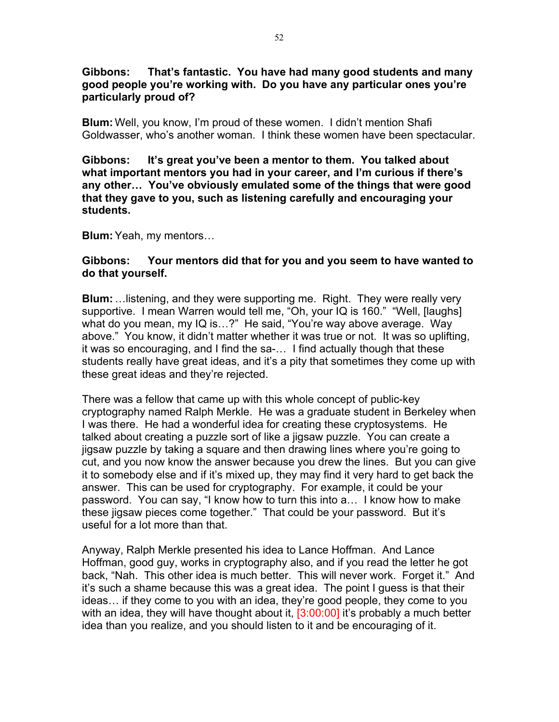#### **Gibbons: That's fantastic. You have had many good students and many good people you're working with. Do you have any particular ones you're particularly proud of?**

**Blum:** Well, you know, I'm proud of these women. I didn't mention Shafi Goldwasser, who's another woman. I think these women have been spectacular.

**Gibbons: It's great you've been a mentor to them. You talked about what important mentors you had in your career, and I'm curious if there's any other… You've obviously emulated some of the things that were good that they gave to you, such as listening carefully and encouraging your students.**

**Blum:** Yeah, my mentors…

#### **Gibbons: Your mentors did that for you and you seem to have wanted to do that yourself.**

**Blum:** …listening, and they were supporting me. Right. They were really very supportive. I mean Warren would tell me, "Oh, your IQ is 160." "Well, [laughs] what do you mean, my IQ is…?" He said, "You're way above average. Way above." You know, it didn't matter whether it was true or not. It was so uplifting, it was so encouraging, and I find the sa-… I find actually though that these students really have great ideas, and it's a pity that sometimes they come up with these great ideas and they're rejected.

There was a fellow that came up with this whole concept of public-key cryptography named Ralph Merkle. He was a graduate student in Berkeley when I was there. He had a wonderful idea for creating these cryptosystems. He talked about creating a puzzle sort of like a jigsaw puzzle. You can create a jigsaw puzzle by taking a square and then drawing lines where you're going to cut, and you now know the answer because you drew the lines. But you can give it to somebody else and if it's mixed up, they may find it very hard to get back the answer. This can be used for cryptography. For example, it could be your password. You can say, "I know how to turn this into a… I know how to make these jigsaw pieces come together." That could be your password. But it's useful for a lot more than that.

Anyway, Ralph Merkle presented his idea to Lance Hoffman. And Lance Hoffman, good guy, works in cryptography also, and if you read the letter he got back, "Nah. This other idea is much better. This will never work. Forget it." And it's such a shame because this was a great idea. The point I guess is that their ideas… if they come to you with an idea, they're good people, they come to you with an idea, they will have thought about it,  $[3:00:00]$  it's probably a much better idea than you realize, and you should listen to it and be encouraging of it.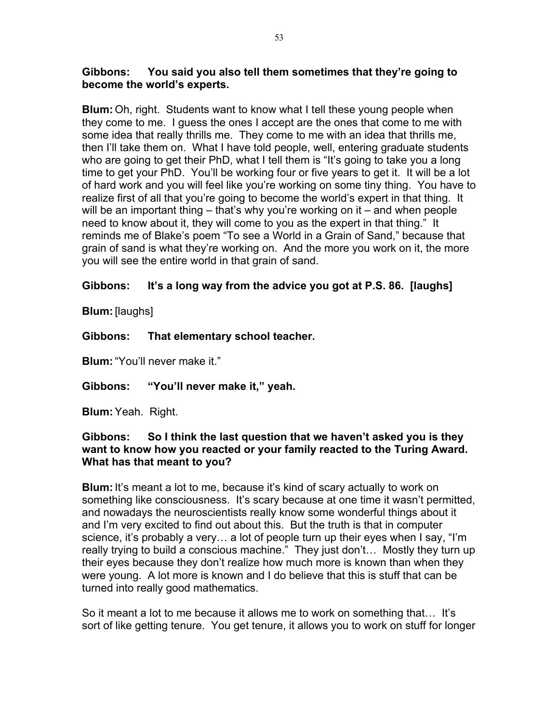### **Gibbons: You said you also tell them sometimes that they're going to become the world's experts.**

**Blum:** Oh, right. Students want to know what I tell these young people when they come to me. I guess the ones I accept are the ones that come to me with some idea that really thrills me. They come to me with an idea that thrills me, then I'll take them on. What I have told people, well, entering graduate students who are going to get their PhD, what I tell them is "It's going to take you a long time to get your PhD. You'll be working four or five years to get it. It will be a lot of hard work and you will feel like you're working on some tiny thing. You have to realize first of all that you're going to become the world's expert in that thing. It will be an important thing – that's why you're working on it – and when people need to know about it, they will come to you as the expert in that thing." It reminds me of Blake's poem "To see a World in a Grain of Sand," because that grain of sand is what they're working on. And the more you work on it, the more you will see the entire world in that grain of sand.

# **Gibbons: It's a long way from the advice you got at P.S. 86. [laughs]**

**Blum:**[laughs]

# **Gibbons: That elementary school teacher.**

**Blum:**"You'll never make it."

**Gibbons: "You'll never make it," yeah.**

**Blum:**Yeah. Right.

# **Gibbons: So I think the last question that we haven't asked you is they want to know how you reacted or your family reacted to the Turing Award. What has that meant to you?**

**Blum:**It's meant a lot to me, because it's kind of scary actually to work on something like consciousness. It's scary because at one time it wasn't permitted, and nowadays the neuroscientists really know some wonderful things about it and I'm very excited to find out about this. But the truth is that in computer science, it's probably a very… a lot of people turn up their eyes when I say, "I'm really trying to build a conscious machine." They just don't… Mostly they turn up their eyes because they don't realize how much more is known than when they were young. A lot more is known and I do believe that this is stuff that can be turned into really good mathematics.

So it meant a lot to me because it allows me to work on something that… It's sort of like getting tenure. You get tenure, it allows you to work on stuff for longer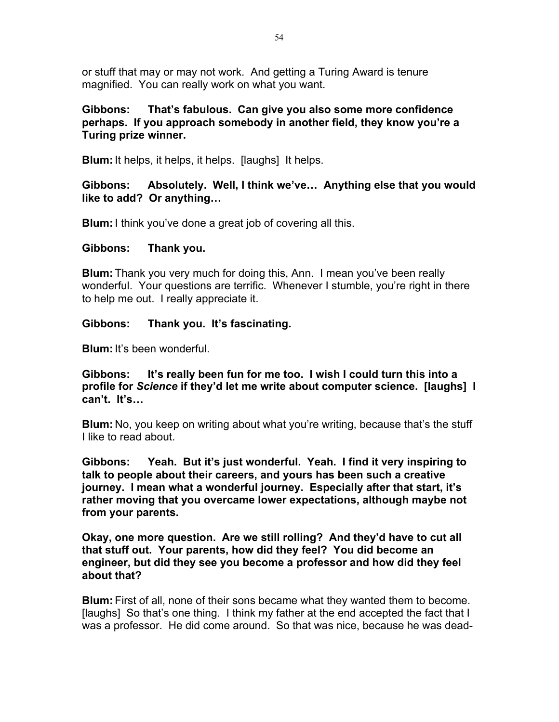or stuff that may or may not work. And getting a Turing Award is tenure magnified. You can really work on what you want.

# **Gibbons: That's fabulous. Can give you also some more confidence perhaps. If you approach somebody in another field, they know you're a Turing prize winner.**

**Blum:**It helps, it helps, it helps. [laughs] It helps.

# **Gibbons: Absolutely. Well, I think we've… Anything else that you would like to add? Or anything…**

**Blum:**I think you've done a great job of covering all this.

# **Gibbons: Thank you.**

**Blum:** Thank you very much for doing this, Ann. I mean you've been really wonderful. Your questions are terrific. Whenever I stumble, you're right in there to help me out. I really appreciate it.

# **Gibbons: Thank you. It's fascinating.**

**Blum:**It's been wonderful.

**Gibbons: It's really been fun for me too. I wish I could turn this into a profile for** *Science* **if they'd let me write about computer science. [laughs] I can't. It's…**

**Blum:** No, you keep on writing about what you're writing, because that's the stuff I like to read about.

**Gibbons: Yeah. But it's just wonderful. Yeah. I find it very inspiring to talk to people about their careers, and yours has been such a creative journey. I mean what a wonderful journey. Especially after that start, it's rather moving that you overcame lower expectations, although maybe not from your parents.**

**Okay, one more question. Are we still rolling? And they'd have to cut all that stuff out. Your parents, how did they feel? You did become an engineer, but did they see you become a professor and how did they feel about that?**

**Blum:** First of all, none of their sons became what they wanted them to become. [laughs] So that's one thing. I think my father at the end accepted the fact that I was a professor. He did come around. So that was nice, because he was dead